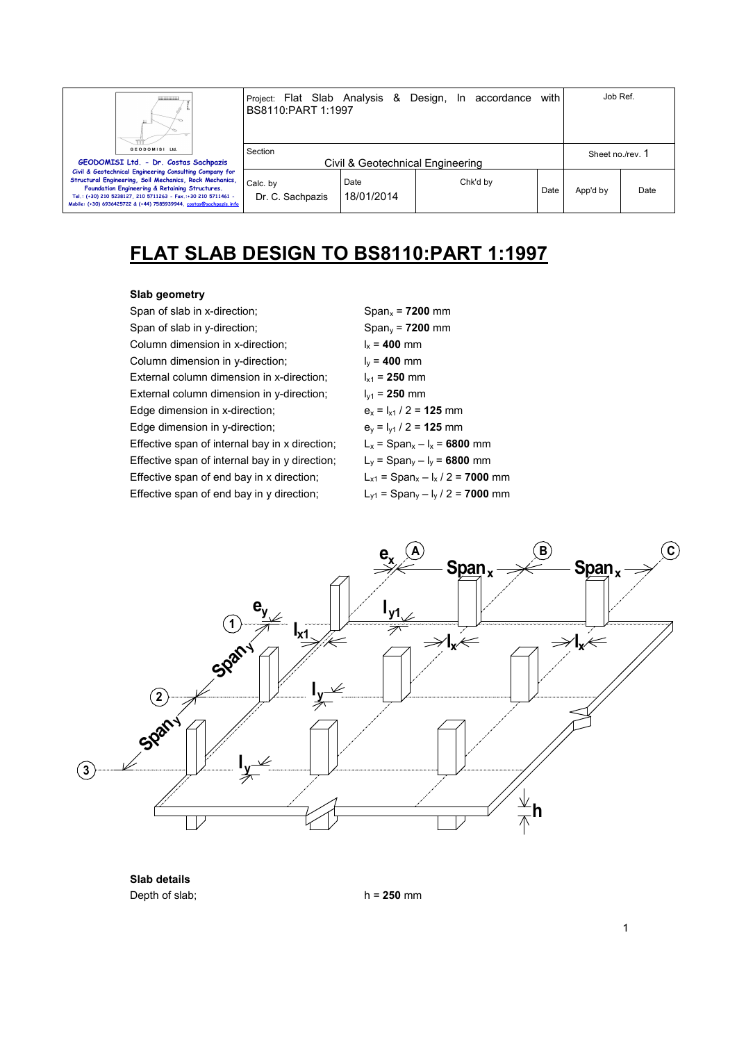| Ш                                                                                                                                                                                                                                                                                                           | Project: Flat Slab Analysis & Design, In accordance<br>BS8110:PART 1:1997 |                                  |          | with | Job Ref.         |      |
|-------------------------------------------------------------------------------------------------------------------------------------------------------------------------------------------------------------------------------------------------------------------------------------------------------------|---------------------------------------------------------------------------|----------------------------------|----------|------|------------------|------|
| GEODOMISI Ltd.<br>GEODOMISI Ltd. - Dr. Costas Sachpazis                                                                                                                                                                                                                                                     | Section                                                                   | Civil & Geotechnical Engineering |          |      | Sheet no./rev. 1 |      |
| Civil & Geotechnical Engineering Consulting Company for<br>Structural Engineering, Soil Mechanics, Rock Mechanics,<br>Foundation Engineering & Retaining Structures.<br>Tel.: (+30) 210 5238127, 210 5711263 - Fax.:+30 210 5711461 -<br>Mobile: (+30) 6936425722 & (+44) 7585939944, costas@sachpazis.info | Calc. by<br>Dr. C. Sachpazis                                              | Date<br>18/01/2014               | Chk'd by | Date | App'd by         | Date |

# **FLAT SLAB DESIGN TO BS8110:PART 1:1997**

### **Slab geometry**

Span of slab in x-direction; Span<sub>x</sub> = **7200** mm Span of slab in y-direction;  $\log_2 7200 \text{ mm}$ Column dimension in x-direction;  $I_x = 400$  mm Column dimension in y-direction;  $I_v = 400$  mm External column dimension in x-direction;  $l_{x1} = 250$  mm External column dimension in y-direction;  $I_{y1} = 250$  mm Edge dimension in x-direction;  $e_x = I_{x1} / 2 = 125$  mm Edge dimension in y-direction;  $e_y = I_{y1} / 2 = 125$  mm Effective span of internal bay in x direction;  $L_x = \text{Span}_x - l_x = 6800 \text{ mm}$ Effective span of internal bay in y direction;  $L_y = \text{Span}_y - I_y = 6800 \text{ mm}$ Effective span of end bay in x direction;  $L_{x1} = \text{Span}_x - I_x / 2 = 7000 \text{ mm}$ Effective span of end bay in y direction;  $L_{y1} = \text{Span}_y - I_y / 2 = 7000 \text{ mm}$ 



**Slab details**  Depth of slab; h = **250** mm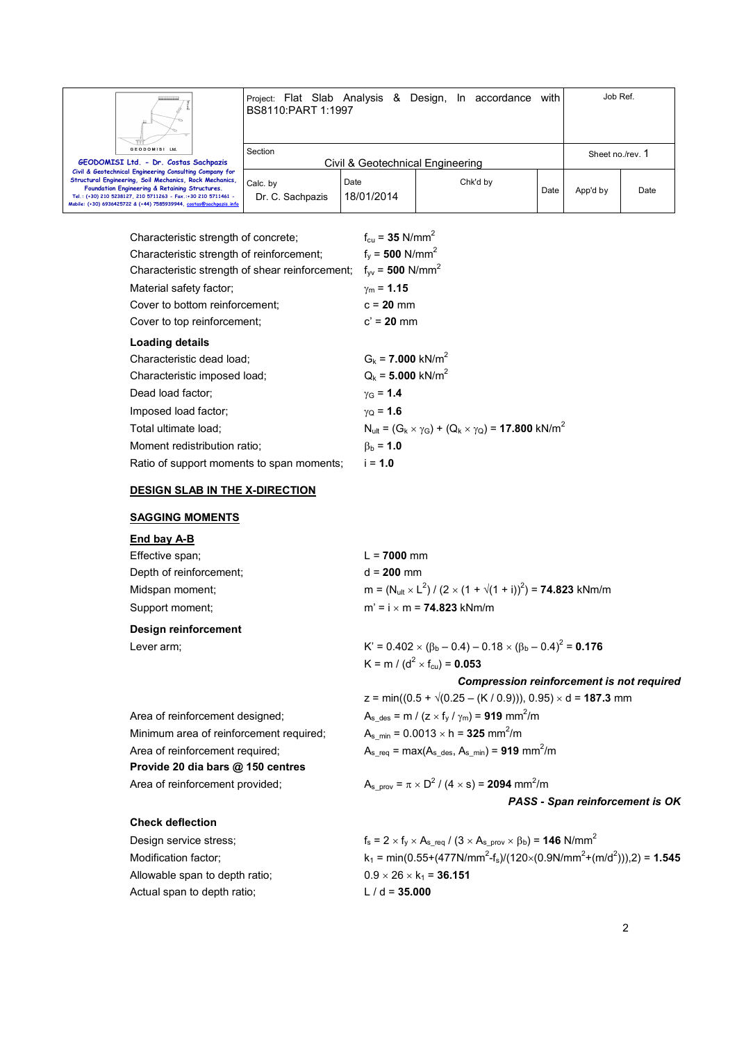

Project: Flat Slab Analysis & Design, In accordance with BS8110:PART 1:1997 Job Ref. Section Civil & Geotechnical Engineering Sheet no./rev. 1

Chk'd by

Date App'd by Date

**GEODOMISI Ltd. - Dr. Costas Sachpazis Civil & Geotechnical Engineering Consulting Company for Structural Engineering, Soil Mechanics, Rock Mechanics, Foundation Engineering & Retaining Structures. Tel.: (+30) 210 5238127, 210 5711263 - Fax.:+30 210 5711461 - Mobile: (+30) 6936425722 & (+44) 7585939944, costas@sachpazis.info**

| Characteristic strength of concrete:            | $f_{\text{cu}} = 35$ N/mm <sup>2</sup>                                                   |
|-------------------------------------------------|------------------------------------------------------------------------------------------|
| Characteristic strength of reinforcement;       | $f_v = 500$ N/mm <sup>2</sup>                                                            |
| Characteristic strength of shear reinforcement; | $f_{\text{vv}} = 500 \text{ N/mm}^2$                                                     |
| Material safety factor;                         | $v_m = 1.15$                                                                             |
| Cover to bottom reinforcement:                  | $c = 20$ mm                                                                              |
| Cover to top reinforcement;                     | $c' = 20$ mm                                                                             |
| Loading details                                 |                                                                                          |
| Characteristic dead load;                       | $G_k = 7.000$ kN/m <sup>2</sup>                                                          |
| Characteristic imposed load;                    | $Q_k = 5.000$ kN/m <sup>2</sup>                                                          |
| Dead load factor;                               | $\gamma_{\rm G} = 1.4$                                                                   |
| Imposed load factor;                            | $y_{\Omega} = 1.6$                                                                       |
| Total ultimate load:                            | $N_{\text{ult}} = (G_k \times \gamma_G) + (Q_k \times \gamma_Q) = 17.800 \text{ kN/m}^2$ |
| Moment redistribution ratio:                    | $\beta_{\rm b} = 1.0$                                                                    |
| Ratio of support moments to span moments;       | $i = 1.0$                                                                                |

Date 18/01/2014

### **DESIGN SLAB IN THE X-DIRECTION**

Calc. by

Dr. C. Sachpazis

### **SAGGING MOMENTS**

# **End bay A-B**

| Effective span;         | $L = 7000$ mm                                                                               |
|-------------------------|---------------------------------------------------------------------------------------------|
| Depth of reinforcement; | $d = 200$ mm                                                                                |
| Midspan moment:         | m = $(N_{\text{ult}} \times L^2) / (2 \times (1 + \sqrt{(1 + i)})^2)$ = <b>74.823</b> kNm/m |
| Support moment:         | $m' = i \times m = 74.823$ kNm/m                                                            |
| Design reinforcement    |                                                                                             |

Minimum area of reinforcement required;

**Provide 20 dia bars @ 150 centres** Area of reinforcement provided;

**Check deflection** 

Lever arm;  $K' = 0.402 \times (\beta_b - 0.4) - 0.18 \times (\beta_b - 0.4)^2 = 0.176$  $K = m / (d^2 \times f_{\text{cu}}) = 0.053$ 

*Compression reinforcement is not required* 

 $z = min((0.5 + \sqrt{(0.25 - (K / 0.9))}), 0.95) \times d = 187.3$  mm Area of reinforcement designed;  $A_{s\_des} = m / (z \times f_y / \gamma_m) = 919$  mm<sup>2</sup>/m  $A_{s,min} = 0.0013 \times h = 325$  mm<sup>2</sup>/m Area of reinforcement required;  $A_{s_{\text{req}}} = \text{max}(A_{s_{\text{neg}}}, A_{s_{\text{min}}}) = 919 \text{ mm}^2/\text{m}$ 

> $1(4 \times s) = 2094$  mm<sup>2</sup>/m *PASS - Span reinforcement is OK*

# Design service stress;  $f_s = 2 \times f_y \times A_{s_{\text{req}}} / (3 \times A_{s_{\text{prow}}} \times \beta_b) = 146 \text{ N/mm}^2$ Modification factor;  $k_1 = min(0.55+(477N/mm^2 - f_s)/(120\times(0.9N/mm^2+(m/d^2))),2) = 1.545$ Allowable span to depth ratio;  $0.9 \times 26 \times k_1 = 36.151$ Actual span to depth ratio; L / d = 35.000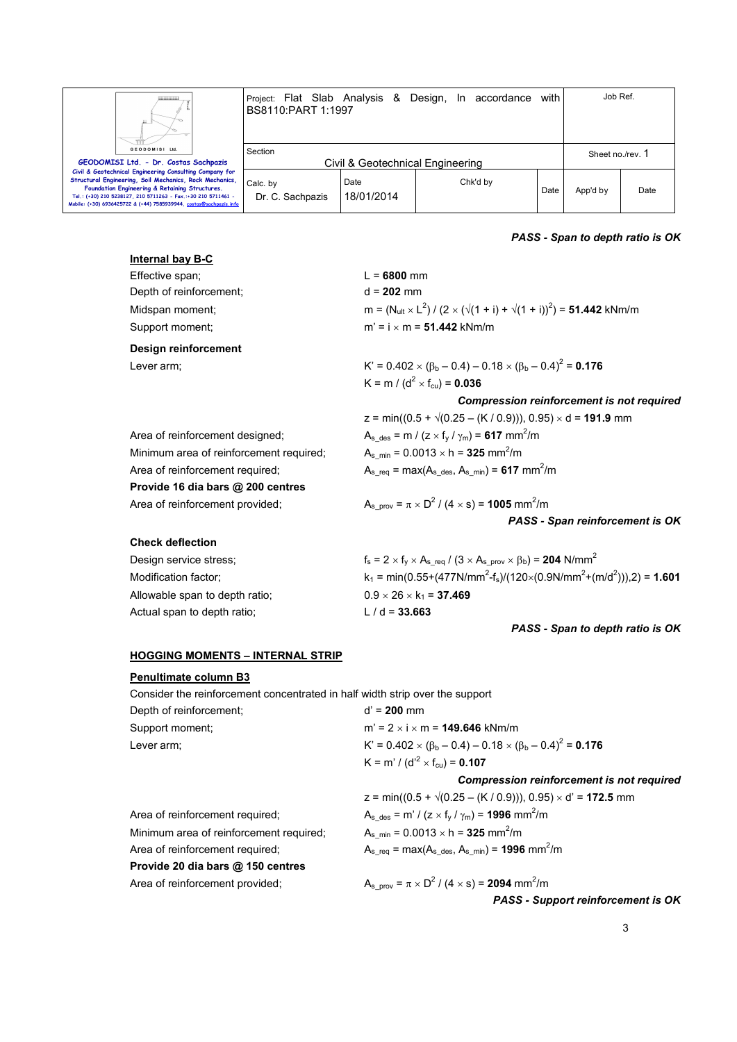

**Civil & Geotechnical Engineering Consulting Company for Structural Engineering, Soil Mechanics, Rock Mechanics, Foundation Engineering & Retaining Structures. Tel.: (+30) 210 5238127, 210 5711263 - Fax.:+30 210 5711461 - Mobile: (+30) 6936425722 & (+44) 7585939944, costas@sachpazis.info**

Dr. C. Sachpazis

Project: Flat Slab Analysis & Design, In accordance with BS8110:PART 1:1997 Job Ref. Section Civil & Geotechnical Engineering Sheet no./rev. 1 Calc. by Date 18/01/2014 Chk'd by Date App'd by Date

### *PASS - Span to depth ratio is OK*

| <b>Internal bay B-C</b>                                                      |                                                                                                                  |
|------------------------------------------------------------------------------|------------------------------------------------------------------------------------------------------------------|
| Effective span;                                                              | $L = 6800$ mm                                                                                                    |
| Depth of reinforcement;                                                      | $d = 202$ mm                                                                                                     |
| Midspan moment;                                                              | m = $(N_{ult} \times L^2) / (2 \times (\sqrt{(1 + i)} + \sqrt{(1 + i)})^2)$ = 51.442 kNm/m                       |
| Support moment;                                                              | $m' = i \times m = 51.442$ kNm/m                                                                                 |
| Design reinforcement                                                         |                                                                                                                  |
| Lever arm;                                                                   | K' = $0.402 \times (\beta_b - 0.4) - 0.18 \times (\beta_b - 0.4)^2 = 0.176$                                      |
|                                                                              | K = m / ( $d^2$ × f <sub>cu</sub> ) = <b>0.036</b>                                                               |
|                                                                              | <b>Compression reinforcement is not required</b>                                                                 |
|                                                                              | $z = min((0.5 + \sqrt{(0.25 - (K / 0.9))}), 0.95) \times d = 191.9$ mm                                           |
| Area of reinforcement designed;                                              | $A_{s \text{ des}} = m / (z \times f_{v} / \gamma_{m}) = 617 \text{ mm}^{2}/m$                                   |
| Minimum area of reinforcement required;                                      | $A_s$ <sub>min</sub> = 0.0013 $\times$ h = <b>325</b> mm <sup>2</sup> /m                                         |
| Area of reinforcement required;                                              | $A_{s \text{req}} = \text{max}(A_{s \text{ des}}, A_{s \text{ min}}) = 617 \text{ mm}^2/\text{m}$                |
| Provide 16 dia bars @ 200 centres                                            |                                                                                                                  |
| Area of reinforcement provided;                                              | $A_{s \text{ prov}} = \pi \times D^2 / (4 \times s) = 1005 \text{ mm}^2/\text{m}$                                |
|                                                                              | PASS - Span reinforcement is OK                                                                                  |
| <b>Check deflection</b>                                                      |                                                                                                                  |
| Design service stress;                                                       | $f_s = 2 \times f_y \times A_{s \text{req}} / (3 \times A_{s \text{ prov}} \times \beta_b) = 204 \text{ N/mm}^2$ |
| Modification factor;                                                         | $k_1 = min(0.55+(477N/mm^2-f_s)/(120\times(0.9N/mm^2+(m/d^2))),2) = 1.601$                                       |
| Allowable span to depth ratio;                                               | $0.9 \times 26 \times k_1 = 37.469$                                                                              |
| Actual span to depth ratio;                                                  | $L/d = 33.663$                                                                                                   |
|                                                                              | PASS - Span to depth ratio is OK                                                                                 |
| <b>HOGGING MOMENTS - INTERNAL STRIP</b>                                      |                                                                                                                  |
| Penultimate column B3                                                        |                                                                                                                  |
| Consider the reinforcement concentrated in half width strip over the support |                                                                                                                  |
| Depth of reinforcement;                                                      | $d' = 200$ mm                                                                                                    |
| Support moment;                                                              | $m' = 2 \times i \times m = 149.646$ kNm/m                                                                       |
| Lever arm;                                                                   | K' = $0.402 \times (\beta_b - 0.4) - 0.18 \times (\beta_b - 0.4)^2 = 0.176$                                      |
|                                                                              | K = m' / (d' <sup>2</sup> × f <sub>cu</sub> ) = <b>0.107</b>                                                     |
|                                                                              | <b>Compression reinforcement is not required</b>                                                                 |
|                                                                              | $z = min((0.5 + \sqrt{(0.25 - (K / 0.9))}), 0.95) \times d' = 172.5$ mm                                          |
|                                                                              |                                                                                                                  |

Minimum area of reinforcement required; Area of reinforcement required;  $A_{s_{red}} = max(A_{s_{red}}, A_{s_{min}}) = 1996$  mm<sup>2</sup>/m **Provide 20 dia bars @ 150 centres** Area of reinforcement provided;

Area of reinforcement required;  $A_{s\_des} = m' / (z \times f_y / \gamma_m) = 1996 \text{ mm}^2/\text{m}$  $A_{s\_min} = 0.0013 \times h = 325$  mm<sup>2</sup>/m

 $1(4 \times s) = 2094$  mm<sup>2</sup>/m

*PASS - Support reinforcement is OK*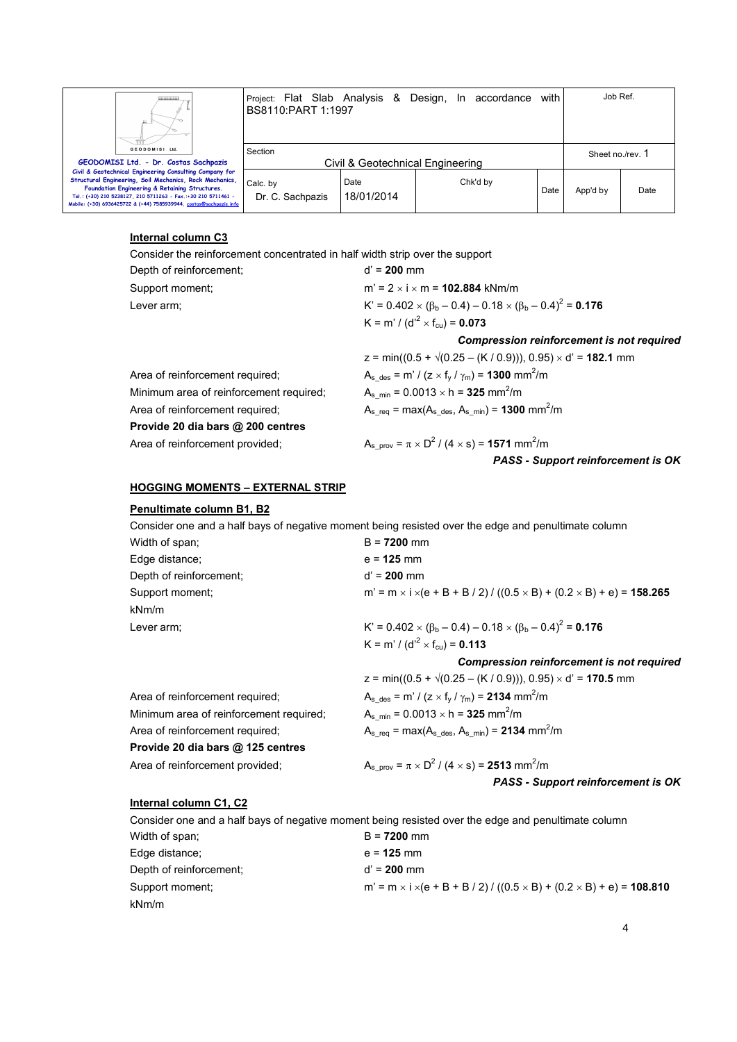| <br>Ш.                                                                                                                                                                                                                                                                                                      | Project: Flat Slab Analysis & Design, In accordance<br>BS8110:PART 1:1997 |                                  |          | with | Job Ref.         |     |
|-------------------------------------------------------------------------------------------------------------------------------------------------------------------------------------------------------------------------------------------------------------------------------------------------------------|---------------------------------------------------------------------------|----------------------------------|----------|------|------------------|-----|
| GEODOMISI Ltd.<br>GEODOMISI Ltd. - Dr. Costas Sachpazis                                                                                                                                                                                                                                                     | Section                                                                   | Civil & Geotechnical Engineering |          |      | Sheet no./rev. 1 |     |
| Civil & Geotechnical Engineering Consulting Company for<br>Structural Engineering, Soil Mechanics, Rock Mechanics,<br>Foundation Engineering & Retaining Structures.<br>Tel.: (+30) 210 5238127, 210 5711263 - Fax.:+30 210 5711461 -<br>Mobile: (+30) 6936425722 & (+44) 7585939944, costas@sachpazis.info | Calc. by<br>Dr. C. Sachpazis                                              | Date<br>18/01/2014               | Chk'd by | Date | App'd by         | Dat |

### **Internal column C3**

Consider the reinforcement concentrated in half width strip over the support

| Depth of reinforcement;                 | $d' = 200$ mm                                                                                      |
|-----------------------------------------|----------------------------------------------------------------------------------------------------|
| Support moment:                         | $m' = 2 \times i \times m = 102.884$ kNm/m                                                         |
| Lever arm;                              | $K' = 0.402 \times (\beta_b - 0.4) - 0.18 \times (\beta_b - 0.4)^2 = 0.176$                        |
|                                         | K = m' / (d' <sup>2</sup> × f <sub>cu</sub> ) = <b>0.073</b>                                       |
|                                         | <b>Compression reinforcement is not required</b>                                                   |
|                                         | $z = min((0.5 + \sqrt{(0.25 - (K / 0.9))}), 0.95) \times d' = 182.1$ mm                            |
| Area of reinforcement required;         | $A_{s \text{ des}} = m' / (z \times f_{v} / \gamma_{m}) = 1300 \text{ mm}^{2}/m$                   |
| Minimum area of reinforcement required; | $A_{s,min} = 0.0013 \times h = 325$ mm <sup>2</sup> /m                                             |
| Area of reinforcement required;         | $A_{s \text{req}} = \text{max}(A_{s \text{ des}}, A_{s \text{ min}}) = 1300 \text{ mm}^2/\text{m}$ |
| Provide 20 dia bars @ 200 centres       |                                                                                                    |
| Area of reinforcement provided;         | A <sub>s prov</sub> = $\pi \times D^2$ / (4 $\times$ s) = <b>1571</b> mm <sup>2</sup> /m           |
|                                         | <b>PASS - Support reinforcement is OK</b>                                                          |

### **HOGGING MOMENTS – EXTERNAL STRIP**

### **Penultimate column B1, B2**

Consider one and a half bays of negative moment being resisted over the edge and penultimate column

| Width of span;          | $B = 7200$ mm                                                                                           |
|-------------------------|---------------------------------------------------------------------------------------------------------|
| Edge distance:          | $e = 125$ mm                                                                                            |
| Depth of reinforcement; | $d' = 200$ mm                                                                                           |
| Support moment;         | m' = m $\times$ i $\times$ (e + B + B / 2) / ((0.5 $\times$ B) + (0.2 $\times$ B) + e) = <b>158.265</b> |
| kNm/m                   |                                                                                                         |
| Lever arm;              | K' = $0.402 \times (\beta_b - 0.4) - 0.18 \times (\beta_b - 0.4)^2 = 0.176$                             |
|                         | K = m' / (d' <sup>2</sup> × f <sub>cu</sub> ) = <b>0.113</b>                                            |

|                                         | $z = min((0.5 + \sqrt{(0.25 - (K / 0.9))}), 0.95) \times d' = 170.5$ mm                            |
|-----------------------------------------|----------------------------------------------------------------------------------------------------|
| Area of reinforcement required;         | $A_{s \text{ des}} = m' / (z \times f_{v} / \gamma_{m}) = 2134 \text{ mm}^{2}/m$                   |
| Minimum area of reinforcement required; | $A_{\rm s,min} = 0.0013 \times h = 325$ mm <sup>2</sup> /m                                         |
| Area of reinforcement required;         | $A_{s \text{req}} = \text{max}(A_{s \text{ des}}, A_{s \text{ min}}) = 2134 \text{ mm}^2/\text{m}$ |
| Provide 20 dia bars @ 125 centres       |                                                                                                    |
| Area of reinforcement provided;         | $A_{s \text{ prov}} = \pi \times D^2 / (4 \times s) = 2513 \text{ mm}^2/\text{m}$                  |
|                                         | PASS - Support reinforcement is OK                                                                 |

### **Internal column C1, C2**

 Consider one and a half bays of negative moment being resisted over the edge and penultimate column Width of span; B = **7200** mm Edge distance; e = **125** mm Depth of reinforcement; d' = 200 mm Support moment; moment; m' = m × i ×(e + B + B / 2) / ((0.5 × B) + (0.2 × B) + e) = **108.810** kNm/m

*Compression reinforcement is not required* 

Date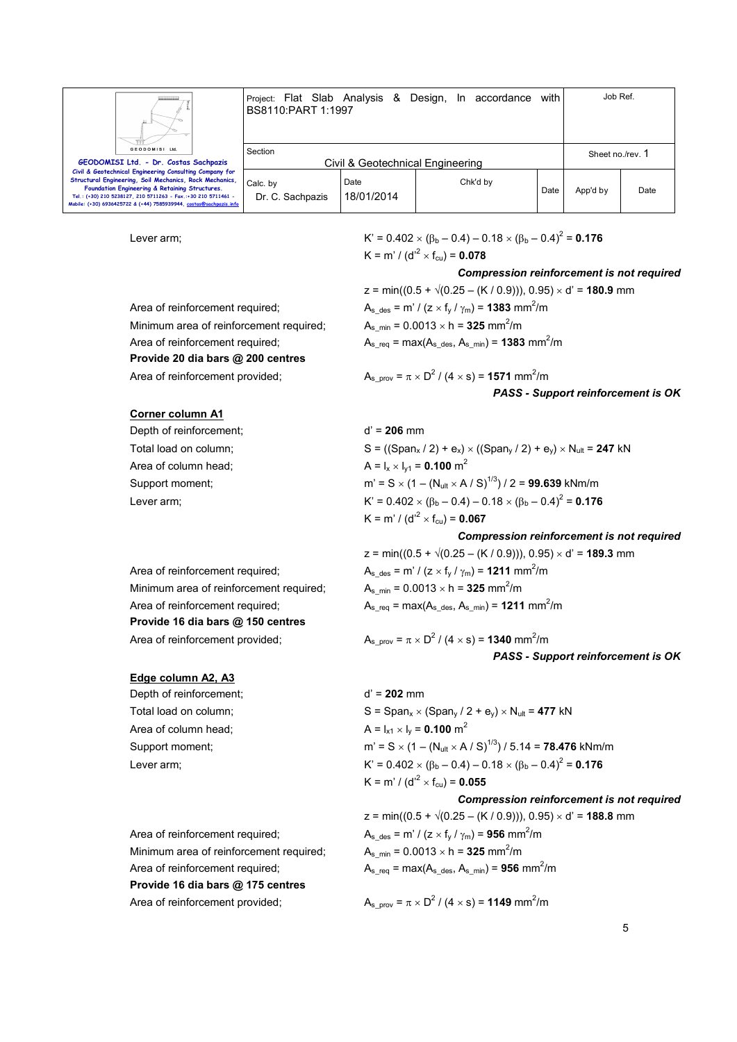

Project: Flat Slab Analysis & Design, In accordance with BS8110:PART 1:1997 Job Ref. Section Civil & Geotechnical Engineering Sheet no./rev. 1

**Civil & Geotechnical Engineering Consulting Company for Structural Engineering, Soil Mechanics, Rock Mechanics, Foundation Engineering & Retaining Structures. Tel.: (+30) 210 5238127, 210 5711263 - Fax.:+30 210 5711461 - Mobile: (+30) 6936425722 & (+44) 7585939944, cost** 

Lever arm;  $K' = 0.402 \times (\beta_b - 0.4) - 0.18 \times (\beta_b - 0.4)^2 = 0.176$  $\mathsf{K} = \mathsf{m}' / (\mathsf{d'}^2 \times \mathsf{f}_{\mathsf{cu}}) = \mathsf{0.078}$ 

Chk'd by

### *Compression reinforcement is not required*

Date App'd by Date

Minimum area of reinforcement required; **Provide 20 dia bars @ 200 centres** Area of reinforcement provided;

Calc. by

Dr. C. Sachpazis

Date 18/01/2014

 $z = min((0.5 + \sqrt{(0.25 - (K / 0.9))}), 0.95) \times d' = 180.9$  mm Area of reinforcement required;  $A_{s\_des} = m' / (z \times f_y / \gamma_m) = 1383 \text{ mm}^2/\text{m}$  $A_s$ <sub>min</sub> = 0.0013  $\times$  h = **325** mm<sup>2</sup>/m Area of reinforcement required;  $A_{s_{red}} = max(A_{s_{red}}, A_{s_{min}}) = 1383$  mm<sup>2</sup>/m

$$
A_{s\_prov} = \pi \times D^2 / (4 \times s) = 1571 \text{ mm}^2/\text{m}
$$
  
**PASS - Support reinforcement is OK**

### **Corner column A1**

Depth of reinforcement; d' = 206 mm Area of column head;  $A = I_x \times I_{y1} = 0.100 \text{ m}^2$ 

Total load on column;  $S = ((\text{Span}_x / 2) + e_x) \times ((\text{Span}_y / 2) + e_y) \times N_{\text{ul}} = 247 \text{ kN}$ Support moment;  $m' = S \times (1 - (N_{\text{ult}} \times A / S)^{1/3}) / 2 = 99.639 \text{ kNm/m}$ Lever arm;  $K' = 0.402 \times (\beta_b - 0.4) - 0.18 \times (\beta_b - 0.4)^2 = 0.176$  $K = m' / (d'^2 \times f_{\text{cu}}) = 0.067$ 

### *Compression reinforcement is not required*

Area of reinforcement required;  $A_{s\_des} = m' / (z \times f_y / \gamma_m) = 1211 \text{ mm}^2/\text{m}$ Minimum area of reinforcement required; **Provide 16 dia bars @ 150 centres** Area of reinforcement provided:

### **Edge column A2, A3**

Depth of reinforcement; d' = 202 mm Area of column head;  $A = I_{x1} \times I_y = 0.100 \text{ m}^2$ 

 $z = min((0.5 + \sqrt{(0.25 - (K/0.9))}), 0.95) \times d' = 189.3$  mm  $A_{s,min} = 0.0013 \times h = 325$  mm<sup>2</sup>/m Area of reinforcement required;  $A_{s_{red}} = max(A_{s_{red}}, A_{s_{min}}) = 1211 \text{ mm}^2/\text{m}$ 

$$
A_{s\_prov} = \pi \times D^2 / (4 \times s) = 1340 \text{ mm}^2/\text{m}
$$
  
PASS - Support reinforcement is OK

Total load on column;  $S = \text{Span}_x \times (\text{Span}_y / 2 + e_y) \times N_{ult} = 477 \text{ kN}$ Support moment; moment; minimized  $m' = S \times (1 - (N_{\text{ult}} \times A / S)^{1/3}) / 5.14 = 78.476$  kNm/m Lever arm;  $K' = 0.402 \times (\beta_b - 0.4) - 0.18 \times (\beta_b - 0.4)^2 = 0.176$  $\mathsf{K} = \mathsf{m}' / (\mathsf{d'}^2 \times \mathsf{f}_{\mathsf{cu}}) = \mathsf{0.055}$ 

### *Compression reinforcement is not required*

 $z = min((0.5 + \sqrt{(0.25 - (K / 0.9))}), 0.95) \times d' = 188.8$  mm Area of reinforcement required;  $A_{s\_des} = m' / (z \times f_y / \gamma_m) = 956 \text{ mm}^2/\text{m}$  $A_s_{min}$  = 0.0013  $\times$  h = 325 mm<sup>2</sup>/m Area of reinforcement required;  $A_{s_{\text{req}}} = \text{max}(A_{s_{\text{neg}}}, A_{s_{\text{min}}}) = 956 \text{ mm}^2/\text{m}$ 

 $1/(4 \times s) = 1149$  mm<sup>2</sup>/m

Minimum area of reinforcement required; **Provide 16 dia bars @ 175 centres** Area of reinforcement provided;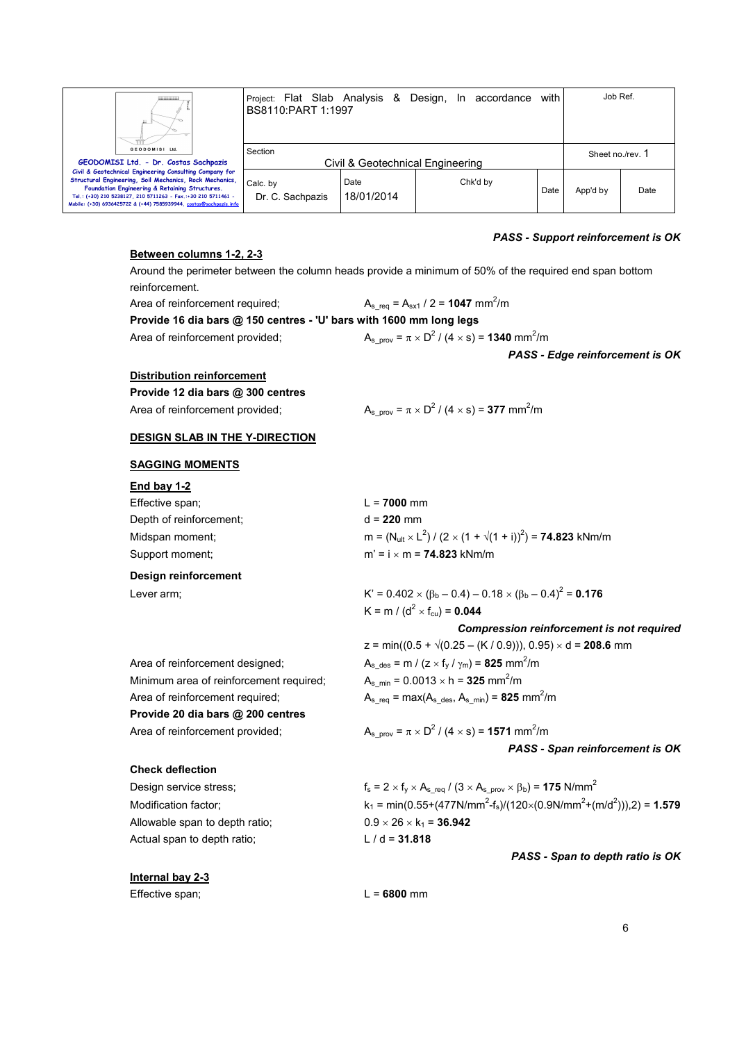

**Civil & Geotechnical Engineering Consulting Company for Structural Engineering, Soil Mechanics, Rock Mechanics, Foundation Engineering & Retaining Structures. Tel.: (+30) 210 5238127, 210 5711263 - Fax.:+30 210 5711461 - Mobile: (+30) 6936425722 & (+44) 7585939944, costas@sachpazis.info**

Project: Flat Slab Analysis & Design, In accordance with BS8110:PART 1:1997 Job Ref. Section Civil & Geotechnical Engineering Sheet no./rev. 1 Calc. by Dr. C. Sachpazis Date 18/01/2014 Chk'd by Date App'd by Date

### **Between columns 1-2, 2-3**

 Around the perimeter between the column heads provide a minimum of 50% of the required end span bottom reinforcement.

Area of reinforcement required;

 $A_{s_{\text{req}}} = A_{s \times 1} / 2 = 1047 \text{ mm}^2/\text{m}$ **Provide 16 dia bars @ 150 centres - 'U' bars with 1600 mm long legs**

Area of reinforcement provided;

 $1(4 \times s) = 1340$  mm<sup>2</sup>/m

*PASS - Edge reinforcement is OK* 

### **Distribution reinforcement**

**Provide 12 dia bars @ 300 centres**

Area of reinforcement provided;

# $1 (4 \times s) = 377$  mm<sup>2</sup>/m

### **DESIGN SLAB IN THE Y-DIRECTION**

### **SAGGING MOMENTS**

| End bay 1-2             |                                                                                             |
|-------------------------|---------------------------------------------------------------------------------------------|
| Effective span:         | $L = 7000$ mm                                                                               |
| Depth of reinforcement: | $d = 220$ mm                                                                                |
| Midspan moment:         | m = $(N_{\text{ult}} \times L^2) / (2 \times (1 + \sqrt{(1 + i)})^2) =$ <b>74.823</b> kNm/m |
| Support moment:         | $m' = i \times m = 74.823$ kNm/m                                                            |
| Design reinforcement    |                                                                                             |

Lever arm;  $K' = 0.402 \times (\beta_b - 0.4) - 0.18 \times (\beta_b - 0.4)^2 = 0.176$  $K = m / (d^2 \times f_{\text{cu}}) = 0.044$ 

A<sub>s min</sub> =  $0.0013 \times h = 325$  mm<sup>2</sup>/m

 $z = min((0.5 + \sqrt{(0.25 - (K / 0.9))}), 0.95) \times d = 208.6$  mm

*Compression reinforcement is not required* 

Area of reinforcement designed;  $A_{s\_des} = m / (z \times f_y / \gamma_m) = 825 \text{ mm}^2/\text{m}$ Minimum area of reinforcement required; Area of reinforcement required;  $A_{s_{\text{req}}} = \text{max}(A_{s_{\text{neg}}}, A_{s_{\text{min}}}) = 825 \text{ mm}^2/\text{m}$ **Provide 20 dia bars @ 200 centres** Area of reinforcement provided;

### $1/(4 \times s) = 1571$  mm<sup>2</sup>/m *PASS - Span reinforcement is OK*

### **Check deflection**

Allowable span to depth ratio;  $0.9 \times 26 \times k_1 = 36.942$ Actual span to depth ratio;  $L / d = 31.818$ 

Design service stress;  $f_s = 2 \times f_y \times A_{s\_req} / (3 \times A_{s\_prov} \times \beta_b) = 175 \text{ N/mm}^2$ Modification factor;  $k_1 = min(0.55+(477N/mm^2 - f_s)/(120\times(0.9N/mm^2+(m/d^2))),2) = 1.579$ 

*PASS - Span to depth ratio is OK* 

### **Internal bay 2-3**

Effective span; L = 6800 mm

*PASS - Support reinforcement is OK*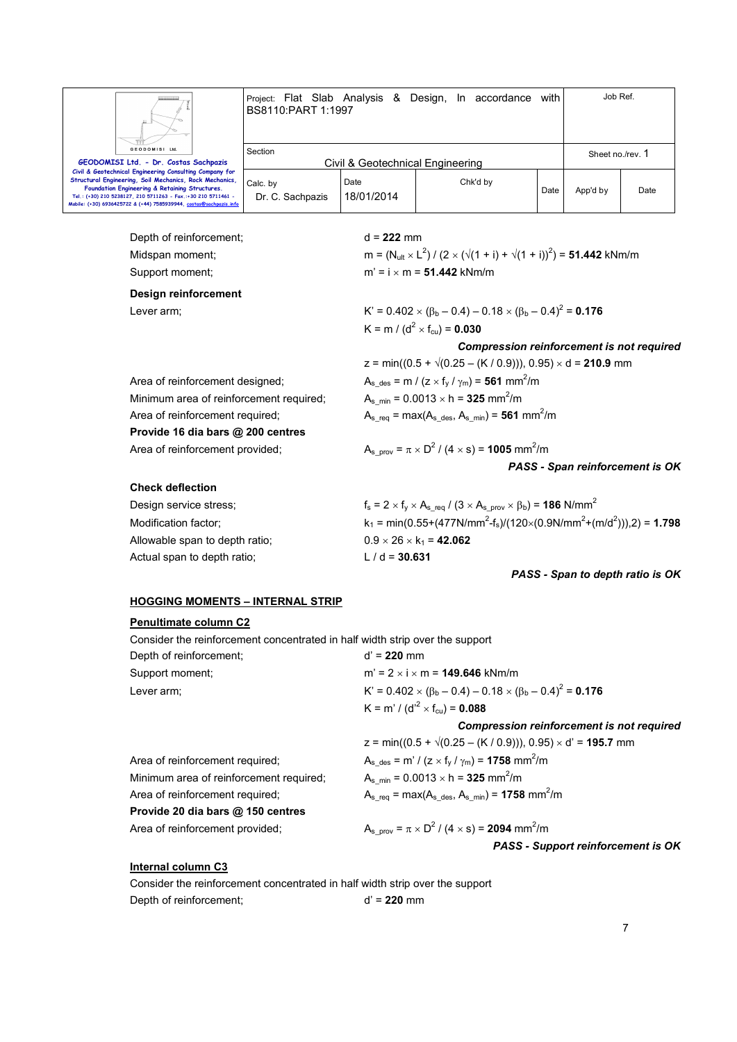

**Civil & Geotechnical Engineering Consulting Company for Structural Engineering, Soil Mechanics, Rock Mechanics, Foundation Engineering & Retaining Structures. Tel.: (+30) 210 5238127, 210 5711263 - Fax.:+30 210 5711461 - Mobile: (+30) 6936425722 & (+44) 7585939944, costas@sachpazis.info**

Project: Flat Slab Analysis & Design, In accordance with BS8110:PART 1:1997 Job Ref. Section Civil & Geotechnical Engineering Sheet no./rev. 1 Calc. by Date 18/01/2014 Chk'd by Date App'd by Date

 Depth of reinforcement; d = **222** mm Midspan moment;

Dr. C. Sachpazis

### **Design reinforcement**

Area of reinforcement designed;

Area of reinforcement required;

**Provide 16 dia bars @ 200 centres**

Minimum area of reinforcement required;

 $\sqrt{(2 \times (\sqrt{(1 + i)} + \sqrt{(1 + i)})^2)} = 51.442$  kNm/m Support moment;  $m' = i \times m = 51.442$  kNm/m

Lever arm;  $K' = 0.402 \times (\beta_b - 0.4) - 0.18 \times (\beta_b - 0.4)^2 = 0.176$  $K = m / (d^2 \times f_{\text{cu}}) = 0.030$ 

*Compression reinforcement is not required* 

Area of reinforcement designed;  
\n
$$
z = min((0.5 + \sqrt{(0.25 - (K / 0.9))}), 0.95) \times d = 210.9 \text{ mm}
$$
\n
$$
A_{s\_des} = m / (z \times f_y / \gamma_m) = 561 \text{ mm}^2/\text{m}
$$
\nMinimum area of reinforcement required;  
\nArea of reinforcement required;  
\n
$$
A_{s\_me} = 0.0013 \times h = 325 \text{ mm}^2/\text{m}
$$
\n
$$
A_{s\_req} = max(A_{s\_des}, A_{s\_min}) = 561 \text{ mm}^2/\text{m}
$$

Area of reinforcement provided; 
$$
A_{s\_prov} = \pi \times D^2 / (4 \times s) = 1005 \text{ mm}^2/\text{m}
$$
  
PASS - Span reinforcement is OK

### **Check deflection**

| Design service stress:         | $f_s = 2 \times f_v \times A_{s \text{ req}} / (3 \times A_{s \text{ prov}} \times \beta_b) = 186 \text{ N/mm}^2$ |
|--------------------------------|-------------------------------------------------------------------------------------------------------------------|
| Modification factor:           | $k_1 = min(0.55+(477N/mm^2-f_s)/(120\times(0.9N/mm^2+(m/d^2))),2) = 1.798$                                        |
| Allowable span to depth ratio; | $0.9 \times 26 \times k_1 = 42.062$                                                                               |
| Actual span to depth ratio;    | $L/d = 30.631$                                                                                                    |
|                                |                                                                                                                   |

### *PASS - Span to depth ratio is OK*

### **HOGGING MOMENTS – INTERNAL STRIP**

### **Penultimate column C2**

 Consider the reinforcement concentrated in half width strip over the support Depth of reinforcement; d' = **220** mm Support moment;  $m' = 2 \times i \times m = 149.646 \text{ kNm/m}$ Lever arm;  $K' = 0.402 \times (\beta_b - 0.4) - 0.18 \times (\beta_b - 0.4)^2 = 0.176$  $\mathsf{K} = \mathsf{m}' / (\mathsf{d'}^2 \times \mathsf{f}_{\mathsf{cu}}) = \mathsf{0.088}$ *Compression reinforcement is not required* 

|                                         | $z = min((0.5 + \sqrt{(0.25 - (K / 0.9))}), 0.95) \times d' = 195.7$ mm                            |
|-----------------------------------------|----------------------------------------------------------------------------------------------------|
| Area of reinforcement required;         | $A_{s \text{ des}} = m' / (z \times f_{v} / \gamma_{m}) = 1758 \text{ mm}^{2}/m$                   |
| Minimum area of reinforcement required; | $A_{s,min} = 0.0013 \times h = 325$ mm <sup>2</sup> /m                                             |
| Area of reinforcement required;         | $A_{s \text{req}} = \text{max}(A_{s \text{ des}}, A_{s \text{ min}}) = 1758 \text{ mm}^2/\text{m}$ |
| Provide 20 dia bars @ 150 centres       |                                                                                                    |
| Area of reinforcement provided;         | $A_{s \text{ prov}} = \pi \times D^2 / (4 \times s) = 2094 \text{ mm}^2/\text{m}$                  |
|                                         | PASS - Support reinforcement is OK                                                                 |

### **Internal column C3**

 Consider the reinforcement concentrated in half width strip over the support Depth of reinforcement; d' = **220** mm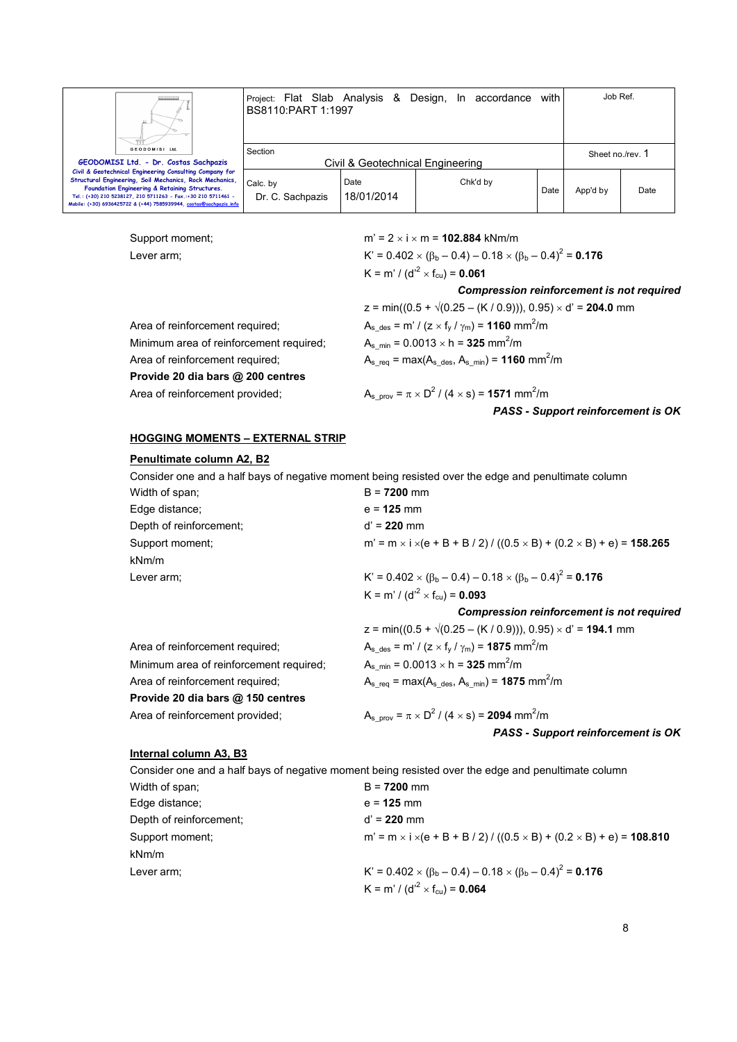

Project: Flat Slab Analysis & Design, In accordance with BS8110:PART 1:1997 Job Ref. Section Civil & Geotechnical Engineering Sheet no./rev. 1 Calc. by Date Chk'd by

Date App'd by Date

**Civil & Geotechnical Engineering Consulting Company for Structural Engineering, Soil Mechanics, Rock Mechanics, Foundation Engineering & Retaining Structures. Tel.: (+30) 210 5238127, 210 5711263 - Fax.:+30 210 5711461 - Mobile: (+30) 6936425722 & (+44) 7585939944, costas@sachpazis.info**

> Support moment;  $m' = 2 \times i \times m = 102.884$  kNm/m Lever arm;  $K' = 0.402 \times (\beta_b - 0.4) - 0.18 \times (\beta_b - 0.4)^2 = 0.176$  $K$  = m' / (d' $^2$   $\times$   $f_{\rm cu}$ ) = 0.061 *Compression reinforcement is not required*   $z = min((0.5 + \sqrt{(0.25 - (K / 0.9))}), 0.95) \times d' = 204.0$  mm Area of reinforcement required;  $A_{s\_des} = m' / (z \times f_y / \gamma_m) = 1160 \text{ mm}^2/\text{m}$ Minimum area of reinforcement required;  $A_s$ <sub>min</sub> = 0.0013  $\times$  h = **325** mm<sup>2</sup>/m Area of reinforcement required;  $A_{s_{\text{red}}} = \text{max}(A_{s_{\text{red}}}, A_{s_{\text{min}}}) = 1160 \text{ mm}^2/\text{m}$ **Provide 20 dia bars @ 200 centres** Area of reinforcement provided;  $1/(4 \times s) = 1571$  mm<sup>2</sup>/m *PASS - Support reinforcement is OK*

18/01/2014

### **HOGGING MOMENTS – EXTERNAL STRIP**

Dr. C. Sachpazis

### **Penultimate column A2, B2**

 Consider one and a half bays of negative moment being resisted over the edge and penultimate column Width of span; B = **7200** mm

| <b>VVIULII UI SUGII,</b> | <u>D – I LUU IIIIII</u>                                                                                 |
|--------------------------|---------------------------------------------------------------------------------------------------------|
| Edge distance:           | $e = 125$ mm                                                                                            |
| Depth of reinforcement;  | $d' = 220$ mm                                                                                           |
| Support moment:          | m' = m $\times$ i $\times$ (e + B + B / 2) / ((0.5 $\times$ B) + (0.2 $\times$ B) + e) = <b>158.265</b> |
| kNm/m                    |                                                                                                         |
| Lever arm:               | K' = $0.402 \times (\beta_b - 0.4) - 0.18 \times (\beta_b - 0.4)^2 = 0.176$                             |
|                          | K = m' / (d' <sup>2</sup> × f <sub>cu</sub> ) = <b>0.093</b>                                            |
|                          | <b>Compression reinforcement is not required</b>                                                        |
|                          |                                                                                                         |

|                                         | $z = min((0.5 + \sqrt{(0.25 - (K / 0.9))}), 0.95) \times d' = 194.1$ mm                            |
|-----------------------------------------|----------------------------------------------------------------------------------------------------|
| Area of reinforcement required;         | $A_{s \text{ des}} = m' / (z \times f_{v} / \gamma_{m}) = 1875 \text{ mm}^{2}/m$                   |
| Minimum area of reinforcement required; | $A_s$ <sub>min</sub> = 0.0013 $\times$ h = <b>325</b> mm <sup>2</sup> /m                           |
| Area of reinforcement required;         | $A_{s \text{rea}} = \text{max}(A_{s \text{ des}}, A_{s \text{ min}}) = 1875 \text{ mm}^2/\text{m}$ |
| Provide 20 dia bars @ 150 centres       |                                                                                                    |
| Area of reinforcement provided;         | $A_{s \text{ prov}} = \pi \times D^2 / (4 \times s) = 2094 \text{ mm}^2/\text{m}$                  |
|                                         | PASS - Support reinforcement is OK                                                                 |

### **Internal column A3, B3**

 Consider one and a half bays of negative moment being resisted over the edge and penultimate column Width of span;  $B = 7200$  mm Edge distance; e = **125** mm Depth of reinforcement; d' = **220** mm Support moment; moment; minimizing m i = m × i ×(e + B + B / 2) / ((0.5 × B) + (0.2 × B) + e) = **108.810** kNm/m Lever arm;  $K' = 0.402 \times (\beta_b - 0.4) - 0.18 \times (\beta_b - 0.4)^2 = 0.176$  $\mathsf{K} = \mathsf{m}' / (\mathsf{d'}^2 \times \mathsf{f}_{\mathsf{cu}}) = \mathsf{0.064}$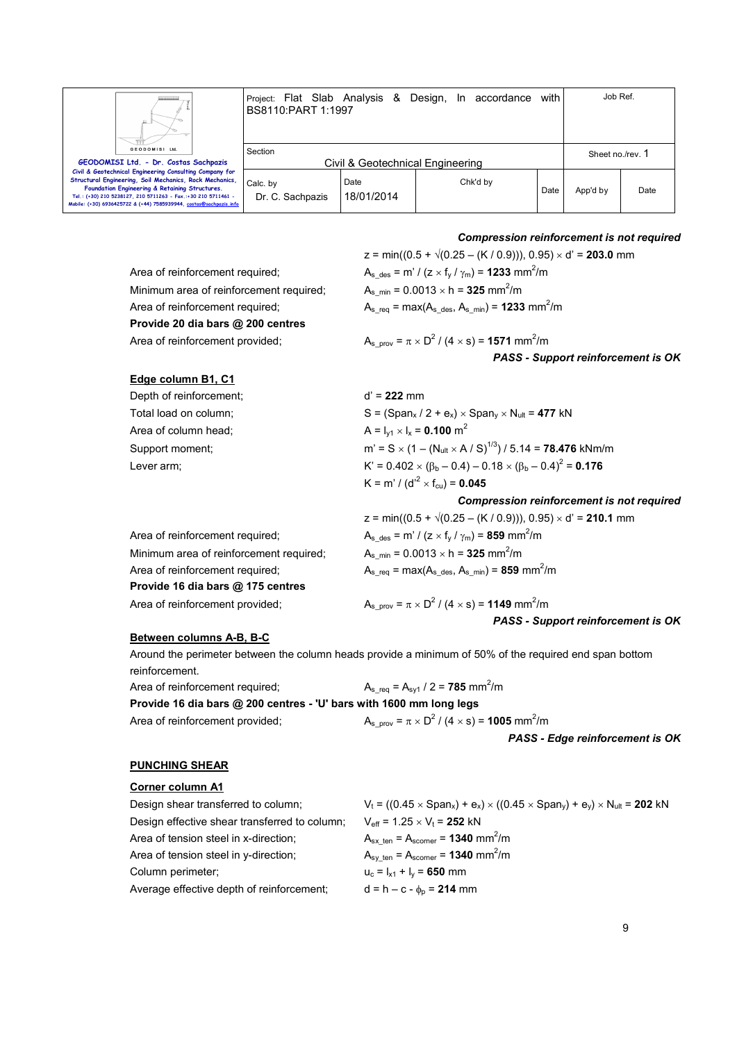

**Mobile: (+30) 6936425722 & (+44) 7585939944, costas@sachpazis.info**

**Civil & Geotechnical Engineering Consulting Company for Structural Engineering, Soil Mechanics, Rock Mechanics, Foundation Engineering & Retaining Structures. Tel.: (+30) 210 5238127, 210 5711263 - Fax.:+30 210 5711461 -**  Project: Flat Slab Analysis & Design, In accordance with BS8110:PART 1:1997 Job Ref. Section Civil & Geotechnical Engineering Sheet no./rev. 1 Calc. by Dr. C. Sachpazis Date 18/01/2014 Chk'd by Date App'd by Date

*Compression reinforcement is not required* 

|                                         | $z = min((0.5 + \sqrt{(0.25 - (K / 0.9))}), 0.95) \times d' = 203.0$ mm                            |
|-----------------------------------------|----------------------------------------------------------------------------------------------------|
| Area of reinforcement required;         | $A_{s \text{ des}} = m' / (z \times f_y / \gamma_m) = 1233 \text{ mm}^2/\text{m}$                  |
| Minimum area of reinforcement required; | $A_s$ <sub>min</sub> = 0.0013 $\times$ h = <b>325</b> mm <sup>2</sup> /m                           |
| Area of reinforcement required;         | $A_{s \text{req}} = \text{max}(A_{s \text{ des}}, A_{s \text{ min}}) = 1233 \text{ mm}^2/\text{m}$ |
| Provide 20 dia bars @ 200 centres       |                                                                                                    |
| Area of reinforcement provided;         | $A_{s \text{ prov}} = \pi \times D^2 / (4 \times s) = 1571 \text{ mm}^2/\text{m}$                  |
|                                         | PASS - Support reinforcement is OK                                                                 |
|                                         |                                                                                                    |

### **Edge column B1, C1**

| Depth of reinforcement: | $d' = 222$ mm                                                                                        |
|-------------------------|------------------------------------------------------------------------------------------------------|
| Total load on column;   | $S = (Span_x / 2 + e_x) \times Span_v \times N_{ult} = 477$ kN                                       |
| Area of column head:    | A = $I_{v1}$ × $I_x$ = 0.100 m <sup>2</sup>                                                          |
| Support moment;         | m' = S $\times$ (1 – (N <sub>ult</sub> $\times$ A / S) <sup>1/3</sup> ) / 5.14 = <b>78.476</b> kNm/m |
| Lever arm:              | K' = $0.402 \times (\beta_b - 0.4) - 0.18 \times (\beta_b - 0.4)^2 = 0.176$                          |
|                         | K = m' / (d' <sup>2</sup> × f <sub>cu</sub> ) = <b>0.045</b>                                         |

Area of reinforcement required;  $A_{s_{\text{des}}} = m' / (z \times f_y / \gamma_m) = 859 \text{ mm}^2/\text{m}$ Minimum area of reinforcement required; Area of reinforcement required;  $A_{s_{\text{req}}} = \text{max}(A_{s_{\text{neg}}, A_{s_{\text{min}}}) = 859 \text{ mm}^2/\text{m}$ **Provide 16 dia bars @ 175 centres** Area of reinforcement provided;

*Compression reinforcement is not required*   $z = min((0.5 + \sqrt{(0.25 - (K/0.9))}), 0.95) \times d' = 210.1$  mm  $A_{\rm s,min} = 0.0013 \times h = 325$  mm<sup>2</sup>/m

 $1/(4 \times s) = 1149$  mm<sup>2</sup>/m

### **Between columns A-B, B-C**

Area of reinforcement provided;

 Around the perimeter between the column heads provide a minimum of 50% of the required end span bottom reinforcement.

Area of reinforcement required; Provide 16 dia bars @ 200 centres - 'U' bars w

$$
A_{s\_req} = A_{syl} / 2 = 785 \text{ mm}^2/\text{m}
$$
  
**ith 1600 mm long legs**  

$$
A_{s\_prov} = \pi \times D^2 / (4 \times s) = 1005 \text{ mm}^2/\text{m}
$$

*PASS - Edge reinforcement is OK* 

*PASS - Support reinforcement is OK* 

### **PUNCHING SHEAR**

### **Corner column A1**

| Design shear transferred to column;           | $V_t = ((0.45 \times Span_x) + e_x) \times ((0.45 \times Span_y) + e_y) \times N_{ult} = 202$ kN |
|-----------------------------------------------|--------------------------------------------------------------------------------------------------|
| Design effective shear transferred to column; | $V_{\text{eff}}$ = 1.25 $\times$ V <sub>t</sub> = <b>252</b> kN                                  |
| Area of tension steel in x-direction;         | $A_{sx \text{ten}} = A_{\text{score}} = 1340 \text{ mm}^2/\text{m}$                              |
| Area of tension steel in y-direction;         | $A_{\text{sv ten}} = A_{\text{score}} = 1340 \text{ mm}^2/\text{m}$                              |
| Column perimeter:                             | $u_c = I_{x1} + I_v = 650$ mm                                                                    |
| Average effective depth of reinforcement;     | $d = h - c - \phi_0 = 214$ mm                                                                    |
|                                               |                                                                                                  |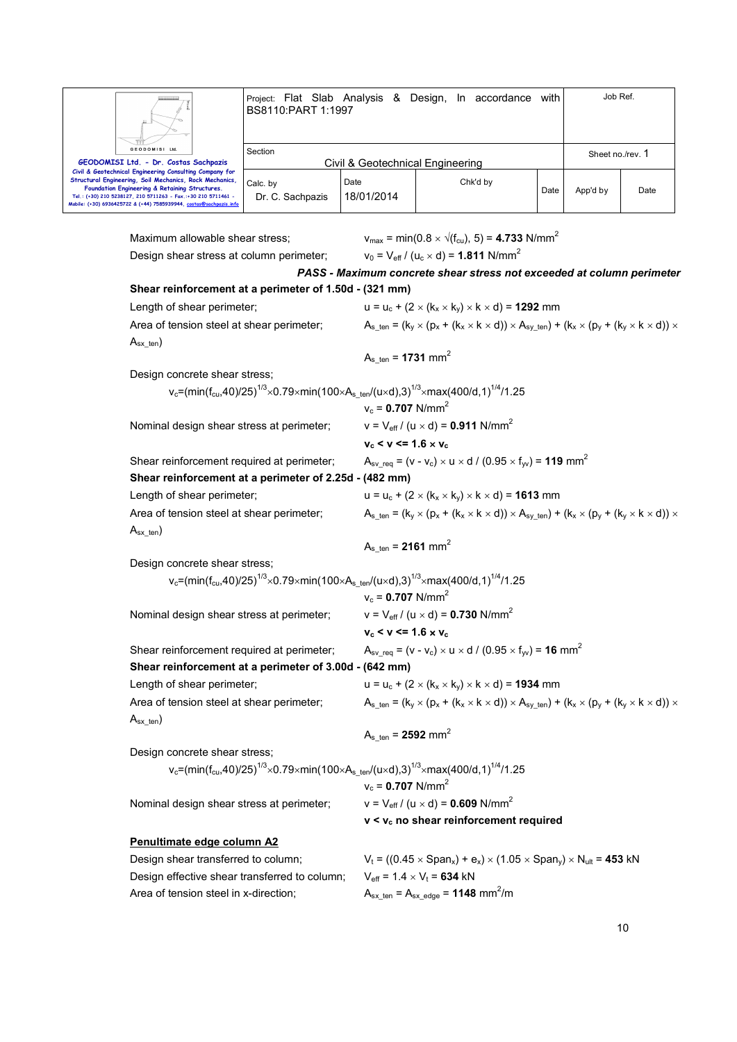

Maximum allowable shear stress;  $v_{\text{max}} = \text{min}(0.8 \times \sqrt{(f_{\text{cut}})}, 5) = 4.733 \text{ N/mm}^2$ Design shear stress at column perimeter;  $v_0 = V_{\text{eff}} / (u_c \times d) = 1.811 \text{ N/mm}^2$ *PASS - Maximum concrete shear stress not exceeded at column perimeter*  **Shear reinforcement at a perimeter of 1.50d - (321 mm)** Length of shear perimeter;  $u = u_c + (2 \times (k_x \times k_y) \times k \times d) = 1292$  mm Area of tension steel at shear perimeter;  $A_{s_{t}} = (k_{y} \times (p_{x} + (k_{x} \times k \times d)) \times A_{sy_{t}}) + (k_{x} \times (p_{y} + (k_{y} \times k \times d)) \times A_{sy_{t}})$  $A_{sx}$ <sub>ten</sub>)  $A_{s_{ten}} = 1731$  mm<sup>2</sup> Design concrete shear stress; v<sub>c</sub>=(min(f<sub>cu</sub>,40)/25)<sup>1/3</sup> $\times$ 0.79 $\times$ min(100 $\times$ A $_{\rm s\_ten}$ /(u $\times$ d),3) $^{1/3}$  $\times$ max(400/d,1) $^{1/4}$ /1.25  $v_c = 0.707$  N/mm<sup>2</sup> Nominal design shear stress at perimeter;  $v = V_{\text{eff}} / (u \times d) = 0.911 \text{ N/mm}^2$  $v_c < v \le 1.6 \times v_c$ Shear reinforcement required at perimeter;  $A_{sv,req} = (v - v_c) \times u \times d / (0.95 \times f_w) = 119$  mm<sup>2</sup> **Shear reinforcement at a perimeter of 2.25d - (482 mm)** Length of shear perimeter;  $u = u_c + (2 \times (k_x \times k_y) \times k \times d) = 1613$  mm Area of tension steel at shear perimeter;  $A_s_{\text{ten}} = (k_y \times (p_x + (k_x \times k \times d)) \times A_{\text{sv-ten}}) + (k_x \times (p_y + (k_y \times k \times d)) \times A_{\text{sv-ten}})$  $A_{sx}$ <sub>ten</sub>)  $A_{s_{\text{ten}}}$  = **2161** mm<sup>2</sup> Design concrete shear stress:  $\rm v_c$ =(min(f $\rm c_u$ ,40)/25) $\rm ^{1/3}$  $\times$ 0.79 $\times$ min(100 $\times$ A $\rm _s$ \_ten/(u $\times$ d),3) $\rm ^{1/3}$  $\times$ max(400/d,1) $\rm ^{1/4}$ /1.25  $v_c = 0.707$  N/mm<sup>2</sup> Nominal design shear stress at perimeter;  $v = V_{\text{eff}} / (u \times d) = 0.730 \text{ N/mm}^2$  $v_c$  <  $v$  <= 1.6  $\times$   $v_c$ Shear reinforcement required at perimeter;  $A_{sv\_req} = (v - v_c) \times u \times d / (0.95 \times f_w) = 16$  mm<sup>2</sup> **Shear reinforcement at a perimeter of 3.00d - (642 mm)** Length of shear perimeter;  $u = u_c + (2 \times (k_x \times k_y) \times k \times d) = 1934$  mm Area of tension steel at shear perimeter;  $A_{s_{t}} = (k_{y} \times (p_{x} + (k_{x} \times k \times d)) \times A_{sy_{t}}) + (k_{x} \times (p_{y} + (k_{y} \times k \times d)) \times A_{sy_{t}})$  $A_{sx}$ <sub>ten</sub>)  $A_{s_{t}}$  ten = **2592** mm<sup>2</sup> Design concrete shear stress; v<sub>c</sub>=(min(f<sub>cu</sub>,40)/25)<sup>1/3</sup>×0.79×min(100×A<sub>s\_ten</sub>/(u×d),3)<sup>1/3</sup>×max(400/d,1)<sup>1/4</sup>/1.25  $v_c = 0.707$  N/mm<sup>2</sup> Nominal design shear stress at perimeter;  $v = V_{\text{eff}} / (u \times d) = 0.609 \text{ N/mm}^2$  **v < vc no shear reinforcement required Penultimate edge column A2** Design shear transferred to column;  $V_t = ((0.45 \times Span_x) + e_x) \times (1.05 \times Span_y) \times N_{ult} = 453$  kN Design effective shear transferred to column;  $V_{\text{eff}} = 1.4 \times V_t = 634 \text{ kN}$ Area of tension steel in x-direction;  $A_{sx \text{ ten}} = A_{sx \text{ edge}} = 1148 \text{ mm}^2/\text{m}$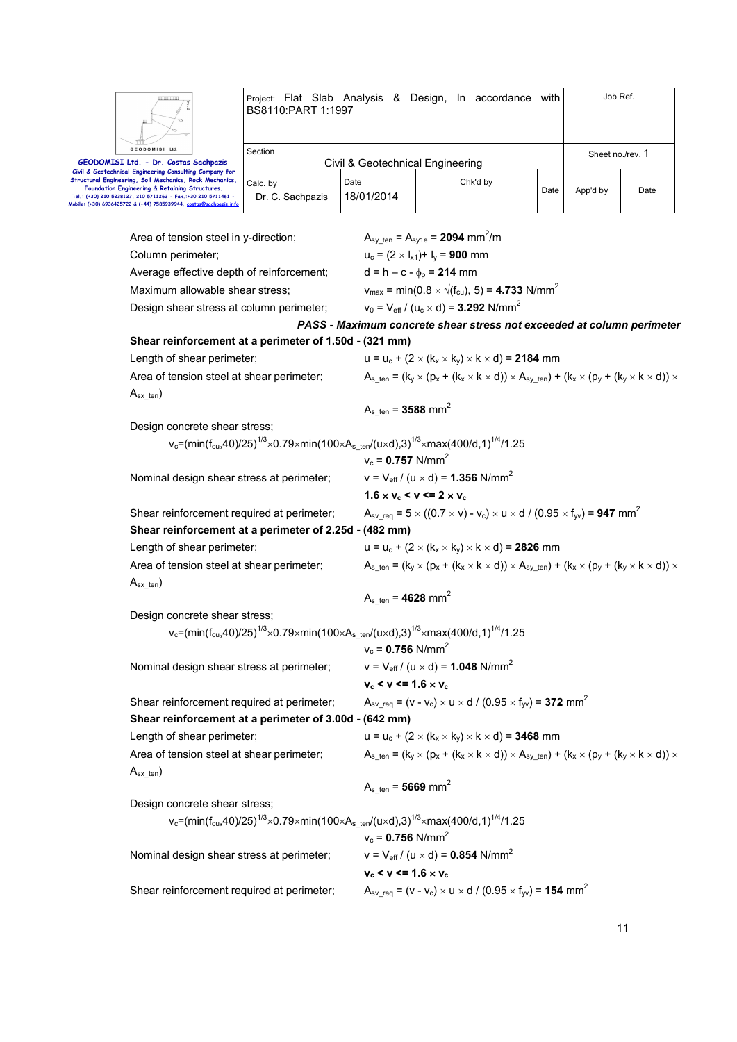

Project: Flat Slab Analysis & Design, In accordance with BS8110:PART 1:1997 Job Ref.

| Section |                              |                    |                                              | Sheet no./rev. |          |
|---------|------------------------------|--------------------|----------------------------------------------|----------------|----------|
|         |                              |                    |                                              |                |          |
|         |                              |                    |                                              |                |          |
|         |                              |                    |                                              |                |          |
|         |                              |                    |                                              |                | Date     |
|         |                              |                    |                                              |                |          |
|         |                              |                    |                                              |                |          |
|         | Calc. by<br>Dr. C. Sachpazis | Date<br>18/01/2014 | Civil & Geotechnical Engineering<br>Chk'd by | Date           | App'd by |

Area of tension steel in y-direction;  $A_{\text{sv ten}} = A_{\text{sv1e}} = 2094 \text{ mm}^2/\text{m}$ Column perimeter;  $u_c = (2 \times I_{x1}) + I_v = 900$  mm Average effective depth of reinforcement;  $d = h - c - \phi_p = 214$  mm Maximum allowable shear stress;  $v_{\text{max}} = \text{min}(0.8 \times \sqrt{(f_{\text{cu}})}, 5) = 4.733 \text{ N/mm}^2$ Design shear stress at column perimeter;  $v_0 = V_{\text{eff}} / (u_c \times d) = 3.292 \text{ N/mm}^2$ *PASS - Maximum concrete shear stress not exceeded at column perimeter*  **Shear reinforcement at a perimeter of 1.50d - (321 mm)** Length of shear perimeter;  $u = u_c + (2 \times (k_x \times k_y) \times k \times d) =$  **2184** mm Area of tension steel at shear perimeter;  $A_s_{\text{ten}} = (k_x \times (p_x + (k_x \times k \times d)) \times A_{\text{sv-ten}}) + (k_x \times (p_y + (k_y \times k \times d)) \times A_{\text{sv-ten}})$  $A_{sx}$ <sub>ten</sub>)  $A_{s_{t}} = 3588$  mm<sup>2</sup> Design concrete shear stress; v<sub>c</sub>=(min(f<sub>cu</sub>,40)/25)<sup>1/3</sup>×0.79×min(100×A<sub>s\_ten</sub>/(u×d),3)<sup>1/3</sup>×max(400/d,1)<sup>1/4</sup>/1.25  $v_c = 0.757$  N/mm<sup>2</sup> Nominal design shear stress at perimeter;  $v = V_{\text{eff}} / (u \times d) = 1.356 \text{ N/mm}^2$ **1.6**  $\times$  **v**<sub>c</sub>  $\leq$  **v**  $\leq$  **2**  $\times$  **v**<sub>c</sub> Shear reinforcement required at perimeter;  $A_{sv\_req} = 5 \times ((0.7 \times v) - v_c) \times u \times d / (0.95 \times f_w) = 947$  mm<sup>2</sup> **Shear reinforcement at a perimeter of 2.25d - (482 mm)** Length of shear perimeter;  $u = u_c + (2 \times (k_x \times k_y) \times k \times d) =$  **2826** mm Area of tension steel at shear perimeter;  $A_s_{\text{ten}} = (k_x \times (p_x + (k_x \times k \times d)) \times A_{\text{sv-ten}}) + (k_x \times (p_y + (k_y \times k \times d)) \times A_{\text{sv-ten}})$  $A_{sx}$ <sub>ten</sub>)  $A_{s_{\text{ten}}}$  = **4628** mm<sup>2</sup> Design concrete shear stress; v<sub>c</sub>=(min(f<sub>cu</sub>,40)/25)<sup>1/3</sup> $\times$ 0.79 $\times$ min(100 $\times$ A $_{\rm s\_ten}$ /(u $\times$ d),3) $^{1/3}$  $\times$ max(400/d,1) $^{1/4}$ /1.25  $v_c = 0.756$  N/mm<sup>2</sup> Nominal design shear stress at perimeter;  $v = V_{\text{eff}} / (u \times d) = 1.048 \text{ N/mm}^2$  $v_c$  <  $v$  <= 1.6  $\times$   $v_c$ Shear reinforcement required at perimeter;  $A_{sv\_req} = (v - v_c) \times u \times d / (0.95 \times f_w) = 372$  mm<sup>2</sup> **Shear reinforcement at a perimeter of 3.00d - (642 mm)** Length of shear perimeter;  $u = u_c + (2 \times (k_x \times k_y) \times k \times d) = 3468$  mm Area of tension steel at shear perimeter;  $A_s_{\text{ten}} = (k_y \times (p_x + (k_x \times k \times d)) \times A_{\text{sv-ten}}) + (k_x \times (p_y + (k_y \times k \times d)) \times A_{\text{sv-ten}})$  $A_{sx}$ <sub>ten</sub>)  $A_{s_{ten}} = 5669$  mm<sup>2</sup> Design concrete shear stress;  $\rm v_c$ =(min(f $\rm c_u$ ,40)/25) $\rm ^{1/3}$  $\times$ 0.79 $\times$ min(100 $\times$ A $\rm _s$ \_ten/(u $\times$ d),3) $\rm ^{1/3}$  $\times$ max(400/d,1) $\rm ^{1/4}$ /1.25  $v_c = 0.756$  N/mm<sup>2</sup> Nominal design shear stress at perimeter;  $v = V_{\text{eff}} / (u \times d) = 0.854 \text{ N/mm}^2$  **vc < v <= 1.6** × **v<sup>c</sup>** Shear reinforcement required at perimeter;  $A_{sv,req} = (v - v_c) \times u \times d / (0.95 \times f_w) = 154$  mm<sup>2</sup>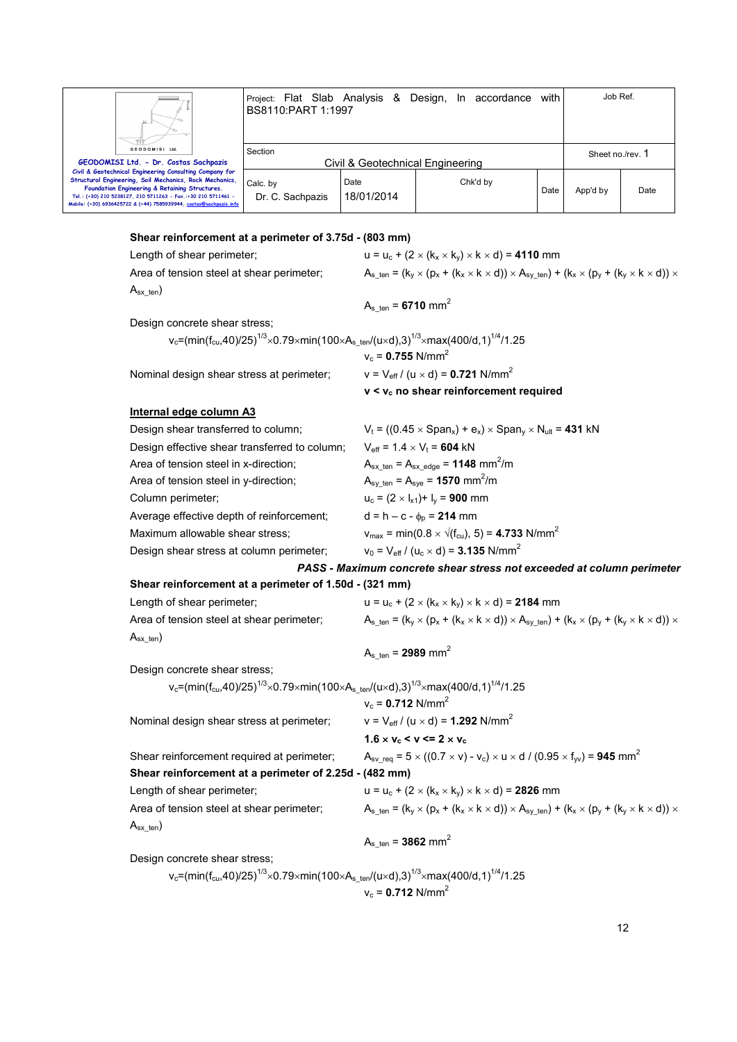| Ш                                                                                                                                                                                                                                                                                                           | Project: Flat Slab Analysis &<br>BS8110:PART 1:1997 |                    | Design, In accordance | with | Job Ref.         |      |
|-------------------------------------------------------------------------------------------------------------------------------------------------------------------------------------------------------------------------------------------------------------------------------------------------------------|-----------------------------------------------------|--------------------|-----------------------|------|------------------|------|
| <b>GEODOMISI Ltd.</b><br>GEODOMISI Ltd. - Dr. Costas Sachpazis                                                                                                                                                                                                                                              | Section<br>Civil & Geotechnical Engineering         |                    |                       |      | Sheet no./rev. 1 |      |
| Civil & Geotechnical Engineering Consulting Company for<br>Structural Engineering, Soil Mechanics, Rock Mechanics,<br>Foundation Engineering & Retaining Structures.<br>Tel.: (+30) 210 5238127, 210 5711263 - Fax.:+30 210 5711461 -<br>Mobile: (+30) 6936425722 & (+44) 7585939944, costas@sachpazis.info | Calc. by<br>Dr. C. Sachpazis                        | Date<br>18/01/2014 | Chk'd by              | Date | App'd by         | Date |

# **Shear reinforcement at a perimeter of 3.75d - (803 mm)**

| Length of shear perimeter;                                                                                                                                | $u = u_c + (2 \times (k_x \times k_y) \times k \times d) = 4110$ mm                                                                               |
|-----------------------------------------------------------------------------------------------------------------------------------------------------------|---------------------------------------------------------------------------------------------------------------------------------------------------|
| Area of tension steel at shear perimeter;                                                                                                                 | $A_{s \text{ ten}} = (k_y \times (p_x + (k_x \times k \times d)) \times A_{sy \text{ ten}}) + (k_x \times (p_y + (k_y \times k \times d)) \times$ |
| $A_{sx{\text{-}}ten}$                                                                                                                                     |                                                                                                                                                   |
|                                                                                                                                                           | $A_{s \text{ ten}} = 6710 \text{ mm}^2$                                                                                                           |
| Design concrete shear stress;                                                                                                                             |                                                                                                                                                   |
| v <sub>c</sub> =(min(f <sub>cu</sub> ,40)/25) <sup>1/3</sup> ×0.79×min(100×A <sub>s_ten</sub> /(u×d),3) <sup>1/3</sup> ×max(400/d,1) <sup>1/4</sup> /1.25 |                                                                                                                                                   |
|                                                                                                                                                           | $v_c = 0.755$ N/mm <sup>2</sup>                                                                                                                   |
| Nominal design shear stress at perimeter;                                                                                                                 | $v = V_{eff} / (u \times d) = 0.721$ N/mm <sup>2</sup>                                                                                            |
|                                                                                                                                                           | v < v <sub>c</sub> no shear reinforcement required                                                                                                |
| Internal edge column A3                                                                                                                                   |                                                                                                                                                   |
| Design shear transferred to column;                                                                                                                       | $V_t = ((0.45 \times Span_x) + e_x) \times Span_y \times N_{ult} = 431$ kN                                                                        |
| Design effective shear transferred to column;                                                                                                             | $V_{\text{eff}}$ = 1.4 $\times$ $V_t$ = 604 kN                                                                                                    |
| Area of tension steel in x-direction;                                                                                                                     | $A_{sx \text{ ten}} = A_{sx \text{ edge}} = 1148 \text{ mm}^2/\text{m}$                                                                           |
| Area of tension steel in y-direction;                                                                                                                     | $A_{\text{sy ten}} = A_{\text{sye}} = 1570 \text{ mm}^2/\text{m}$                                                                                 |
| Column perimeter;                                                                                                                                         | $u_c = (2 \times I_{x1}) + I_y = 900$ mm                                                                                                          |
| Average effective depth of reinforcement;                                                                                                                 | $d = h - c - \phi_p = 214$ mm                                                                                                                     |
| Maximum allowable shear stress;                                                                                                                           | $v_{\text{max}} = \text{min}(0.8 \times \sqrt{(f_{\text{cu}})}, 5) = 4.733 \text{ N/mm}^2$                                                        |
| Design shear stress at column perimeter;                                                                                                                  | $v_0 = V_{\text{eff}} / (u_c \times d) = 3.135 \text{ N/mm}^2$                                                                                    |
|                                                                                                                                                           | PASS - Maximum concrete shear stress not exceeded at column perimeter                                                                             |
| Shear reinforcement at a perimeter of 1.50d - (321 mm)                                                                                                    |                                                                                                                                                   |
| Length of shear perimeter;                                                                                                                                | $u = u_c + (2 \times (k_x \times k_y) \times k \times d) = 2184$ mm                                                                               |
| Area of tension steel at shear perimeter;                                                                                                                 | $A_{s \text{ ten}} = (k_y \times (p_x + (k_x \times k \times d)) \times A_{sy \text{ ten}}) + (k_x \times (p_y + (k_y \times k \times d)) \times$ |
| $A_{sx\_ten}$                                                                                                                                             |                                                                                                                                                   |
|                                                                                                                                                           | $A_{s \text{ ten}} = 2989 \text{ mm}^2$                                                                                                           |
| Design concrete shear stress;                                                                                                                             |                                                                                                                                                   |
| v <sub>c</sub> =(min(f <sub>cu</sub> ,40)/25) <sup>1/3</sup> ×0.79×min(100×A <sub>sten</sub> /(u×d),3) <sup>1/3</sup> ×max(400/d,1) <sup>1/4</sup> /1.25  |                                                                                                                                                   |
|                                                                                                                                                           | $v_c = 0.712$ N/mm <sup>2</sup>                                                                                                                   |
| Nominal design shear stress at perimeter;                                                                                                                 | $v = V_{eff} / (u \times d) = 1.292$ N/mm <sup>2</sup>                                                                                            |
|                                                                                                                                                           | $1.6 \times v_c \le v \le 2 \times v_c$                                                                                                           |
| Shear reinforcement required at perimeter;                                                                                                                | $A_{\text{sv\_req}} = 5 \times ((0.7 \times v) - v_c) \times u \times d / (0.95 \times f_w) = 945 \text{ mm}^2$                                   |
| Shear reinforcement at a perimeter of 2.25d - (482 mm)                                                                                                    |                                                                                                                                                   |
| Length of shear perimeter;                                                                                                                                | $u = u_c + (2 \times (k_x \times k_y) \times k \times d) = 2826$ mm                                                                               |
| Area of tension steel at shear perimeter;                                                                                                                 | $A_{s \text{ ten}} = (k_y \times (p_x + (k_x \times k \times d)) \times A_{sy \text{ ten}}) + (k_x \times (p_y + (k_y \times k \times d)) \times$ |
| $A_{sx{\text{-}}ten}$                                                                                                                                     |                                                                                                                                                   |
|                                                                                                                                                           | $A_{s \text{ ten}} = 3862 \text{ mm}^2$                                                                                                           |
| Design concrete shear stress;                                                                                                                             |                                                                                                                                                   |
| v <sub>c</sub> =(min(f <sub>cu</sub> ,40)/25) <sup>1/3</sup> ×0.79×min(100×A <sub>s_ten</sub> /(u×d),3) <sup>1/3</sup> ×max(400/d,1) <sup>1/4</sup> /1.25 |                                                                                                                                                   |

 $v_c = 0.712$  N/mm<sup>2</sup>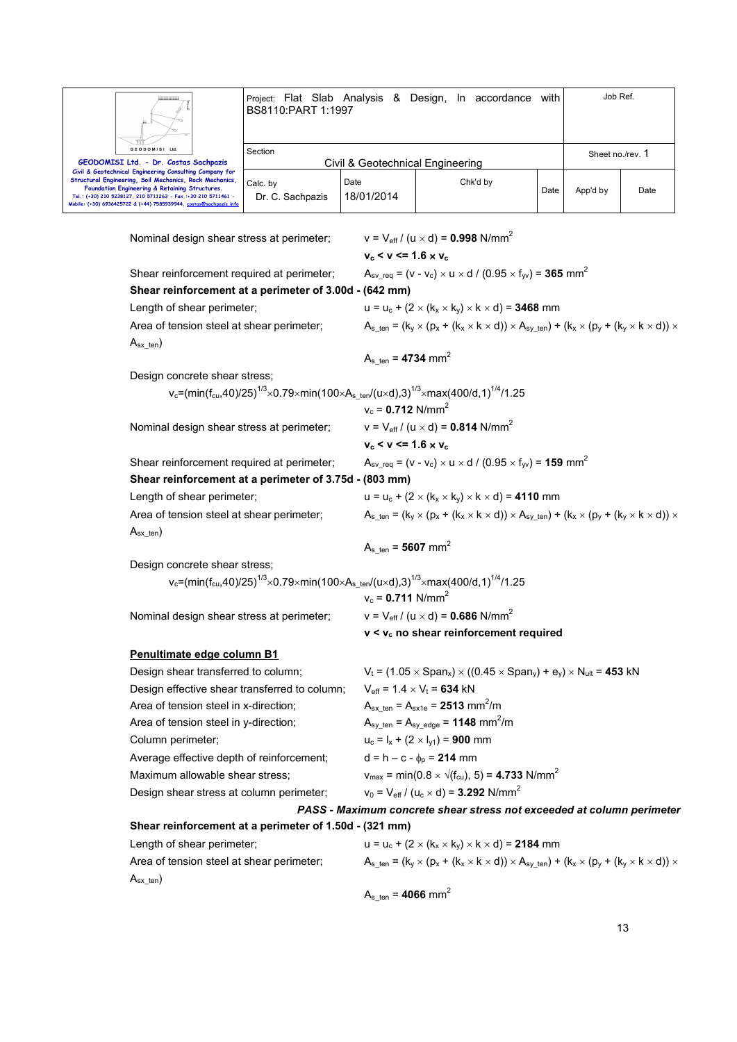

Project: Flat Slab Analysis & Design, In accordance with BS8110:PART 1:1997 Job Ref.

| GEODOMISI Ltd.<br>GEODOMISI Ltd. - Dr. Costas Sachpazis                                                                                                                                                                                                                                                    | Section<br>Civil & Geotechnical Engineering |                    |          | Sheet no./rev. 1 |          |      |
|------------------------------------------------------------------------------------------------------------------------------------------------------------------------------------------------------------------------------------------------------------------------------------------------------------|---------------------------------------------|--------------------|----------|------------------|----------|------|
| Civil & Geotechnical Engineering Consulting Company for<br>Structural Engineering, Soil Mechanics, Rock Mechanics,<br>Foundation Engineering & Retaining Structures.<br>Tel.: (+30) 210 5238127, 210 5711263 - Fax.:+30 210 5711461 -<br>obile: (+30) 6936425722 & (+44) 7585939944, costas@sachpazis.info | Calc. by<br>Dr. C. Sachpazis                | Date<br>18/01/2014 | Chk'd by | Date             | App'd by | Date |

Nominal design shear stress at perimeter;  $v = V_{\text{eff}} / (u \times d) = 0.998 \text{ N/mm}^2$  $v_c < v \le 1.6 \times v_c$ Shear reinforcement required at perimeter;  $A_{sv \text{ req}} = (v - v_c) \times u \times d / (0.95 \times f_w) = 365 \text{ mm}^2$ **Shear reinforcement at a perimeter of 3.00d - (642 mm)** Length of shear perimeter;  $u = u_c + (2 \times (k_x \times k_y) \times k \times d) = 3468$  mm Area of tension steel at shear perimeter;  $A_s_{\text{ten}} = (k_y \times (p_x + (k_x \times k \times d)) \times A_{\text{sv-ten}}) + (k_x \times (p_y + (k_y \times k \times d)) \times A_{\text{sv-ten}})$  $A_{sx}$ <sub>ten</sub>)  $A_{s_{ten}} = 4734$  mm<sup>2</sup> Design concrete shear stress;  $\rm v_c$ =(min(f $\rm c_u$ ,40)/25) $\rm ^{1/3}$  $\times$ 0.79 $\times$ min(100 $\times$ A $\rm _s$ \_ten/(u $\times$ d),3) $\rm ^{1/3}$  $\times$ max(400/d,1) $\rm ^{1/4}$ /1.25  $v_c = 0.712$  N/mm<sup>2</sup> Nominal design shear stress at perimeter;  $v = V_{\text{eff}} / (u \times d) = 0.814 \text{ N/mm}^2$  $v_c < v \le 1.6 \times v_c$ Shear reinforcement required at perimeter;  $A_{sv \text{ req}} = (v - v_c) \times u \times d / (0.95 \times f_w) = 159 \text{ mm}^2$ **Shear reinforcement at a perimeter of 3.75d - (803 mm)** Length of shear perimeter:  $u = u_c + (2 \times (k_x \times k_y) \times k_x d) = 4110$  mm Area of tension steel at shear perimeter;  $A_{s_ten} = (k_y \times (p_x + (k_x \times k \times d)) \times A_{s_y_ten}) + (k_x \times (p_y + (k_y \times k \times d)) \times A_{s_y_ten})$  $A_{sx\_ten}$ )  $A_{s_{ten}} = 5607$  mm<sup>2</sup> Design concrete shear stress; v<sub>c</sub>=(min(f<sub>cu</sub>,40)/25)<sup>1/3</sup>×0.79×min(100×A<sub>s\_ten</sub>/(u×d),3)<sup>1/3</sup>×max(400/d,1)<sup>1/4</sup>/1.25  $v_c = 0.711$  N/mm<sup>2</sup> Nominal design shear stress at perimeter;  $v = V_{\text{eff}} / (u \times d) = 0.686 \text{ N/mm}^2$  **v < vc no shear reinforcement required Penultimate edge column B1** Design shear transferred to column;  $V_t = (1.05 \times Span_x) \times ((0.45 \times Span_y) + e_y) \times N_{ult} = 453$  kN Design effective shear transferred to column;  $V_{\text{eff}} = 1.4 \times V_t = 634 \text{ kN}$ Area of tension steel in x-direction;  $A_{sx \text{ ten}} = A_{sx1e} = 2513 \text{ mm}^2/\text{m}$ Area of tension steel in y-direction;  $A_{sy\_ten} = A_{sy\_edge} = 1148$  mm<sup>2</sup>/m Column perimeter;  $u_c = I_x + (2 \times I_{y1}) = 900$  mm Average effective depth of reinforcement;  $d = h - c - \phi_p = 214$  mm Maximum allowable shear stress;  $v_{\text{max}} = \text{min}(0.8 \times \sqrt{(f_{\text{cu}})}, 5) = 4.733 \text{ N/mm}^2$ Design shear stress at column perimeter;  $v_0 = V_{\text{eff}} / (u_c \times d) = 3.292 \text{ N/mm}^2$ *PASS - Maximum concrete shear stress not exceeded at column perimeter*  **Shear reinforcement at a perimeter of 1.50d - (321 mm)** Length of shear perimeter;  $u = u_c + (2 \times (k_x \times k_y) \times k \times d) = 2184$  mm Area of tension steel at shear perimeter;  $A_s_{\text{ten}} = (k_y \times (p_x + (k_x \times k \times d)) \times A_{\text{sv-ten}}) + (k_x \times (p_y + (k_y \times k \times d)) \times A_{\text{sv-ten}})$  $A_{sx}$ <sub>ten</sub>)  $A_{s_{ten}} = 4066$  mm<sup>2</sup>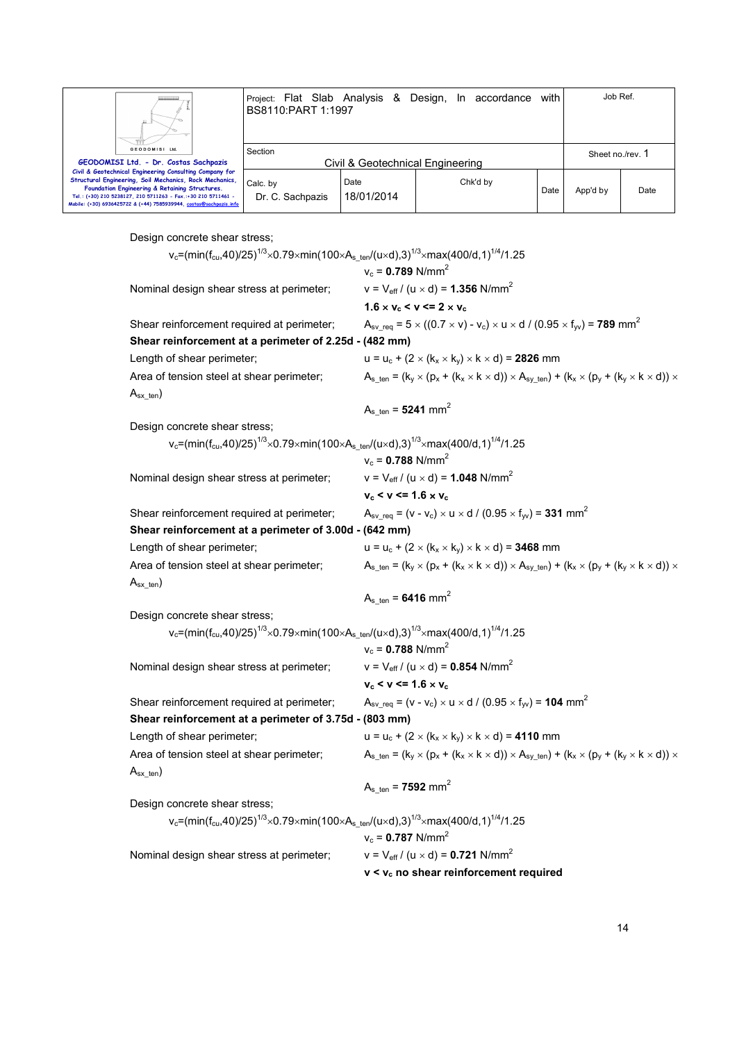|                                                                                                                                                                                                                                                                                                             | Project: Flat Slab Analysis & Design, In accordance<br>BS8110:PART 1:1997 |                    |  |          | with             | Job Ref. |      |
|-------------------------------------------------------------------------------------------------------------------------------------------------------------------------------------------------------------------------------------------------------------------------------------------------------------|---------------------------------------------------------------------------|--------------------|--|----------|------------------|----------|------|
| <b>GEODOMISI Ltd.</b><br>GEODOMISI Ltd. - Dr. Costas Sachpazis                                                                                                                                                                                                                                              | Section<br>Civil & Geotechnical Engineering                               |                    |  |          | Sheet no./rev. 1 |          |      |
| Civil & Geotechnical Engineering Consulting Company for<br>Structural Engineering, Soil Mechanics, Rock Mechanics,<br>Foundation Engineering & Retaining Structures.<br>Tel.: (+30) 210 5238127, 210 5711263 - Fax.:+30 210 5711461 -<br>Mobile: (+30) 6936425722 & (+44) 7585939944, costas@sachpazis.info | Calc. by<br>Dr. C. Sachpazis                                              | Date<br>18/01/2014 |  | Chk'd by | Date             | App'd by | Date |

Design concrete shear stress;

| v <sub>c</sub> =(min(f <sub>cu</sub> ,40)/25) <sup>1/3</sup> ×0.79×min(100×A <sub>sten</sub> /(u×d),3) <sup>1/3</sup> ×max(400/d,1) <sup>1/4</sup> /1.25 |                                                                                                                                                   |
|----------------------------------------------------------------------------------------------------------------------------------------------------------|---------------------------------------------------------------------------------------------------------------------------------------------------|
|                                                                                                                                                          | $v_c = 0.789$ N/mm <sup>2</sup>                                                                                                                   |
| Nominal design shear stress at perimeter;                                                                                                                | $v = V_{eff} / (u \times d) = 1.356$ N/mm <sup>2</sup>                                                                                            |
|                                                                                                                                                          | $1.6 \times v_c < v \le 2 \times v_c$                                                                                                             |
| Shear reinforcement required at perimeter;                                                                                                               | $A_{sv\_req} = 5 \times ((0.7 \times v) - v_c) \times u \times d / (0.95 \times f_{yv}) = 789$ mm <sup>2</sup>                                    |
| Shear reinforcement at a perimeter of 2.25d - (482 mm)                                                                                                   |                                                                                                                                                   |
| Length of shear perimeter;                                                                                                                               | $u = u_c + (2 \times (k_x \times k_y) \times k \times d) = 2826$ mm                                                                               |
| Area of tension steel at shear perimeter;<br>$A_{sx \text{ten}}$                                                                                         | $A_{s_ten} = (k_y \times (p_x + (k_x \times k \times d)) \times A_{s_y_ten}) + (k_x \times (p_y + (k_y \times k \times d)) \times$                |
|                                                                                                                                                          | $A_{s \text{ ten}} = 5241 \text{ mm}^2$                                                                                                           |
| Design concrete shear stress;                                                                                                                            |                                                                                                                                                   |
| v <sub>c</sub> =(min(f <sub>cu</sub> ,40)/25) <sup>1/3</sup> ×0.79×min(100×A <sub>sten</sub> /(u×d),3) <sup>1/3</sup> ×max(400/d,1) <sup>1/4</sup> /1.25 |                                                                                                                                                   |
|                                                                                                                                                          | $v_c = 0.788$ N/mm <sup>2</sup>                                                                                                                   |
| Nominal design shear stress at perimeter;                                                                                                                | $v = V_{eff} / (u \times d) = 1.048$ N/mm <sup>2</sup>                                                                                            |
|                                                                                                                                                          | $v_c < v \le 1.6 \times v_c$                                                                                                                      |
| Shear reinforcement required at perimeter;                                                                                                               | $A_{\rm sv}$ req = (v - v <sub>c</sub> ) × u × d / (0.95 × f <sub>w</sub> ) = <b>331</b> mm <sup>2</sup>                                          |
| Shear reinforcement at a perimeter of 3.00d - (642 mm)                                                                                                   |                                                                                                                                                   |
| Length of shear perimeter;                                                                                                                               | $u = u_c + (2 \times (k_x \times k_y) \times k \times d) = 3468$ mm                                                                               |
| Area of tension steel at shear perimeter;                                                                                                                | $A_{s \text{ ten}} = (k_y \times (p_x + (k_x \times k \times d)) \times A_{sy \text{ ten}}) + (k_x \times (p_y + (k_y \times k \times d)) \times$ |
| $A_{sx{\_\text{ten}})$                                                                                                                                   |                                                                                                                                                   |
|                                                                                                                                                          | $A_{s_{\text{t}} = 6416 \text{ mm}^2$                                                                                                             |
| Design concrete shear stress;                                                                                                                            |                                                                                                                                                   |
| v <sub>c</sub> =(min(f <sub>cu</sub> ,40)/25) <sup>1/3</sup> ×0.79×min(100×A <sub>sten</sub> /(u×d),3) <sup>1/3</sup> ×max(400/d,1) <sup>1/4</sup> /1.25 |                                                                                                                                                   |
|                                                                                                                                                          | $v_c = 0.788$ N/mm <sup>2</sup>                                                                                                                   |
| Nominal design shear stress at perimeter;                                                                                                                | $v = V_{eff} / (u \times d) = 0.854$ N/mm <sup>2</sup>                                                                                            |
|                                                                                                                                                          | $v_c < v \le 1.6 \times v_c$                                                                                                                      |
| Shear reinforcement required at perimeter;                                                                                                               | $A_{\rm sv}$ req = (v - v <sub>c</sub> ) × u × d / (0.95 × f <sub>w</sub> ) = <b>104</b> mm <sup>2</sup>                                          |
| Shear reinforcement at a perimeter of 3.75d - (803 mm)                                                                                                   |                                                                                                                                                   |
| Length of shear perimeter;                                                                                                                               | $u = u_c + (2 \times (k_x \times k_y) \times k \times d) = 4110$ mm                                                                               |
| Area of tension steel at shear perimeter;                                                                                                                | $A_{s_ten} = (k_y \times (p_x + (k_x \times k \times d)) \times A_{s_y_ten}) + (k_x \times (p_y + (k_y \times k \times d)) \times$                |
| $A_{sx{\text{-}}ten}$                                                                                                                                    |                                                                                                                                                   |
|                                                                                                                                                          | $A_{s \text{ ten}} = 7592 \text{ mm}^2$                                                                                                           |
| Design concrete shear stress;                                                                                                                            |                                                                                                                                                   |
| v <sub>c</sub> =(min(f <sub>cu</sub> ,40)/25) <sup>1/3</sup> ×0.79×min(100×A <sub>sten</sub> /(u×d),3) <sup>1/3</sup> ×max(400/d,1) <sup>1/4</sup> /1.25 |                                                                                                                                                   |
|                                                                                                                                                          | $v_c = 0.787$ N/mm <sup>2</sup>                                                                                                                   |
| Nominal design shear stress at perimeter;                                                                                                                | $v = V_{eff} / (u \times d) = 0.721$ N/mm <sup>2</sup>                                                                                            |
|                                                                                                                                                          | v < v <sub>c</sub> no shear reinforcement required                                                                                                |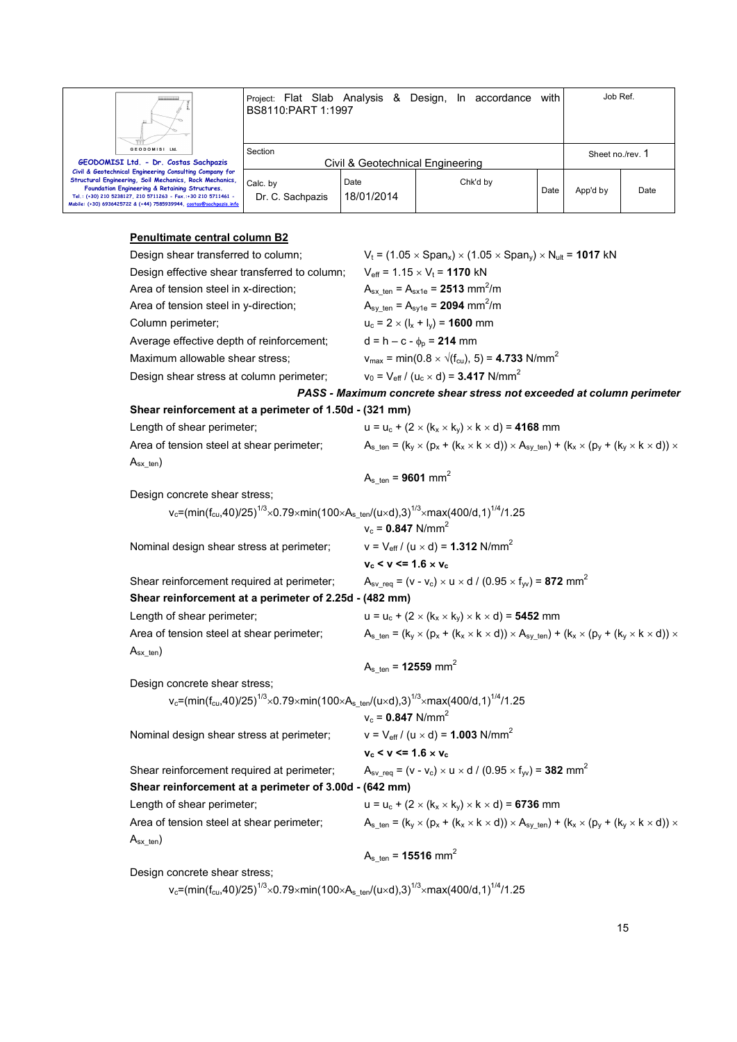

## **Penultimate central column B2**

| Design shear transferred to column;                                                                                                                       | $V_t$ = (1.05 $\times$ Span <sub>x</sub> ) $\times$ (1.05 $\times$ Span <sub>y</sub> ) $\times$ N <sub>ult</sub> = <b>1017</b> kN                 |
|-----------------------------------------------------------------------------------------------------------------------------------------------------------|---------------------------------------------------------------------------------------------------------------------------------------------------|
| Design effective shear transferred to column;                                                                                                             | $V_{\text{eff}}$ = 1.15 $\times$ V <sub>t</sub> = <b>1170</b> kN                                                                                  |
| Area of tension steel in x-direction;                                                                                                                     | $A_{sx \text{ ten}} = A_{sx1e} = 2513 \text{ mm}^2/\text{m}$                                                                                      |
| Area of tension steel in y-direction;                                                                                                                     | $A_{sy\_ten} = A_{sy1e} = 2094$ mm <sup>2</sup> /m                                                                                                |
| Column perimeter;                                                                                                                                         | $u_c = 2 \times (I_x + I_y) = 1600$ mm                                                                                                            |
| Average effective depth of reinforcement;                                                                                                                 | $d = h - c - \phi_p = 214$ mm                                                                                                                     |
| Maximum allowable shear stress;                                                                                                                           | $v_{\text{max}} = \text{min}(0.8 \times \sqrt{(f_{\text{cu}})}, 5) = 4.733 \text{ N/mm}^2$                                                        |
| Design shear stress at column perimeter;                                                                                                                  | $v_0 = V_{\text{eff}} / (u_c \times d) = 3.417 \text{ N/mm}^2$                                                                                    |
|                                                                                                                                                           | PASS - Maximum concrete shear stress not exceeded at column perimeter                                                                             |
| Shear reinforcement at a perimeter of 1.50d - (321 mm)                                                                                                    |                                                                                                                                                   |
| Length of shear perimeter;                                                                                                                                | $u = u_c + (2 \times (k_x \times k_y) \times k \times d) = 4168$ mm                                                                               |
| Area of tension steel at shear perimeter;                                                                                                                 | $A_{s_ten} = (k_y \times (p_x + (k_x \times k \times d)) \times A_{sy_ten}) + (k_x \times (p_y + (k_y \times k \times d)) \times$                 |
| $A_{sx \text{ten}}$                                                                                                                                       |                                                                                                                                                   |
|                                                                                                                                                           | $A_{s \text{ ten}} = 9601 \text{ mm}^2$                                                                                                           |
| Design concrete shear stress;                                                                                                                             |                                                                                                                                                   |
| v <sub>c</sub> =(min(f <sub>cu</sub> ,40)/25) <sup>1/3</sup> ×0.79×min(100×A <sub>s_ten</sub> /(u×d),3) <sup>1/3</sup> ×max(400/d,1) <sup>1/4</sup> /1.25 |                                                                                                                                                   |
|                                                                                                                                                           | $v_c = 0.847$ N/mm <sup>2</sup>                                                                                                                   |
| Nominal design shear stress at perimeter;                                                                                                                 | $v = V_{eff} / (u \times d) = 1.312$ N/mm <sup>2</sup>                                                                                            |
|                                                                                                                                                           | $v_c < v \le 1.6 \times v_c$                                                                                                                      |
| Shear reinforcement required at perimeter;                                                                                                                | $A_{\rm sv}$ req = (v - v <sub>c</sub> ) × u × d / (0.95 × f <sub>yv</sub> ) = <b>872</b> mm <sup>2</sup>                                         |
| Shear reinforcement at a perimeter of 2.25d - (482 mm)                                                                                                    |                                                                                                                                                   |
| Length of shear perimeter;                                                                                                                                | $u = u_c + (2 \times (k_x \times k_y) \times k \times d) = 5452$ mm                                                                               |
| Area of tension steel at shear perimeter;                                                                                                                 | $A_{s \text{ ten}} = (k_y \times (p_x + (k_x \times k \times d)) \times A_{sy\_ten}) + (k_x \times (p_y + (k_y \times k \times d)) \times$        |
| $A_{sx{\text{-}}ten}$                                                                                                                                     |                                                                                                                                                   |
|                                                                                                                                                           | $A_{s_{\text{t}} = 12559 \text{ mm}^2$                                                                                                            |
| Design concrete shear stress;                                                                                                                             |                                                                                                                                                   |
| v <sub>c</sub> =(min(f <sub>cu</sub> ,40)/25) <sup>1/3</sup> ×0.79×min(100×A <sub>sten</sub> /(u×d),3) <sup>1/3</sup> ×max(400/d,1) <sup>1/4</sup> /1.25  |                                                                                                                                                   |
|                                                                                                                                                           | $v_c = 0.847$ N/mm <sup>2</sup>                                                                                                                   |
| Nominal design shear stress at perimeter;                                                                                                                 | $v = V_{eff} / (u \times d) = 1.003$ N/mm <sup>2</sup>                                                                                            |
|                                                                                                                                                           | $v_c < v \le 1.6 \times v_c$                                                                                                                      |
| Shear reinforcement required at perimeter;                                                                                                                | $A_{sv\_req}$ = (v - v <sub>c</sub> ) × u × d / (0.95 × f <sub>yv</sub> ) = <b>382</b> mm <sup>2</sup>                                            |
| Shear reinforcement at a perimeter of 3.00d - (642 mm)                                                                                                    |                                                                                                                                                   |
| Length of shear perimeter;                                                                                                                                | $u = u_c + (2 \times (k_x \times k_y) \times k \times d) = 6736$ mm                                                                               |
| Area of tension steel at shear perimeter;                                                                                                                 | $A_{s \text{ ten}} = (k_y \times (p_x + (k_x \times k \times d)) \times A_{sy \text{ ten}}) + (k_x \times (p_y + (k_y \times k \times d)) \times$ |
| $A_{sx{\text{-}}ten}$                                                                                                                                     |                                                                                                                                                   |
|                                                                                                                                                           | $A_{s \text{ten}} = 15516 \text{ mm}^2$                                                                                                           |
| Design concrete shear stress;                                                                                                                             |                                                                                                                                                   |

 $\rm v_c$ =(min(f $\rm c_u$ ,40)/25) $\rm ^{1/3}$  $\times$ 0.79 $\times$ min(100 $\times$ A $\rm _s$ \_ten/(u $\times$ d),3) $\rm ^{1/3}$  $\times$ max(400/d,1) $\rm ^{1/4}$ /1.25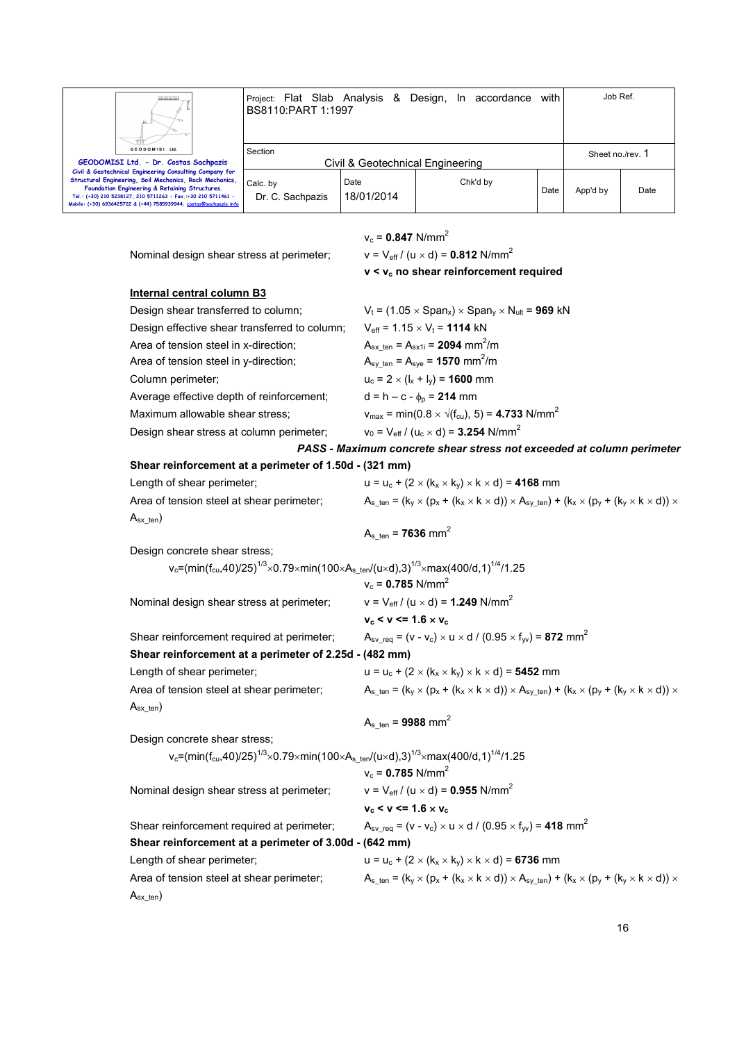

Project: Flat Slab Analysis & Design, In accordance with BS8110:PART 1:1997 Job Ref. Section Civil & Geotechnical Engineering Sheet no./rev. 1

Chk'd by

Date App'd by Date

 $v_c = 0.847$  N/mm<sup>2</sup>

Date 18/01/2014

Nominal design shear stress at perimeter;  $v = V_{\text{eff}} / (u \times d) = 0.812 \text{ N/mm}^2$  **v < vc no shear reinforcement required Internal central column B3** Design shear transferred to column;  $V_t = (1.05 \times \text{Span}_x) \times \text{Span}_y \times N_{ult} = 969 \text{ kN}$ Design effective shear transferred to column;  $V_{\text{eff}} = 1.15 \times V_t = 1114 \text{ kN}$ Area of tension steel in x-direction;  $A_{sx \text{ ten}} = A_{sx1i} = 2094 \text{ mm}^2/\text{m}$ Area of tension steel in y-direction;  $A_{\rm sv \ ten} = A_{\rm sve} = 1570 \ mm^2/m$ Column perimeter;  $u_c = 2 \times (I_x + I_y) = 1600$  mm Average effective depth of reinforcement;  $d = h - c - \phi_p = 214$  mm Maximum allowable shear stress;  $v_{\text{max}} = \text{min}(0.8 \times \sqrt{(f_{\text{cut}})}, 5) = 4.733 \text{ N/mm}^2$ Design shear stress at column perimeter;  $v_0 = V_{\text{eff}} / (u_c \times d) = 3.254 \text{ N/mm}^2$ *PASS - Maximum concrete shear stress not exceeded at column perimeter*  **Shear reinforcement at a perimeter of 1.50d - (321 mm)** Length of shear perimeter;  $u = u_c + (2 \times (k_x \times k_y) \times k \times d) = 4168$  mm Area of tension steel at shear perimeter;  $A_{s_{t}} = (k_{y} \times (p_{x} + (k_{x} \times k \times d)) \times A_{sy_{t}}) + (k_{x} \times (p_{y} + (k_{y} \times k \times d)) \times A_{sy_{t}})$  $A_{sx{\_\text{ten}})$  $A_{s_{ten}} = 7636$  mm<sup>2</sup> Design concrete shear stress;  $\rm v_c$ =(min(f $\rm c_u$ ,40)/25) $\rm ^{1/3}$  $\times$ 0.79 $\times$ min(100 $\times$ A $\rm _s$ \_ten/(u $\times$ d),3) $\rm ^{1/3}$  $\times$ max(400/d,1) $\rm ^{1/4}$ /1.25  $v_c = 0.785$  N/mm<sup>2</sup> Nominal design shear stress at perimeter;  $v = V_{\text{eff}} / (u \times d) = 1.249 \text{ N/mm}^2$  $v_c < v \le 1.6 \times v_c$ Shear reinforcement required at perimeter;  $A_{sv \text{ real}} = (v - v_c) \times u \times d / (0.95 \times f_w) = 872 \text{ mm}^2$ **Shear reinforcement at a perimeter of 2.25d - (482 mm)** Length of shear perimeter;  $u = u_c + (2 \times (k_x \times k_y) \times k \times d) =$  **5452** mm Area of tension steel at shear perimeter;  $A_s_{\text{ten}} = (k_x \times (p_x + (k_x \times k \times d)) \times A_{\text{sv-ten}}) + (k_x \times (p_y + (k_y \times k \times d)) \times A_{\text{sv-ten}})$  $A_{sx}$ <sub>ten</sub>)  $A_{s_{ten}} = 9988$  mm<sup>2</sup> Design concrete shear stress;  $\rm v_c$ =(min(f $\rm c_u$ ,40)/25) $\rm ^{1/3}$  $\times$ 0.79 $\times$ min(100 $\times$ A $\rm _s$ \_ten/(u $\times$ d),3) $\rm ^{1/3}$  $\times$ max(400/d,1) $\rm ^{1/4}$ /1.25  $v_c = 0.785$  N/mm<sup>2</sup> Nominal design shear stress at perimeter;  $v = V_{\text{eff}} / (u \times d) = 0.955 \text{ N/mm}^2$  $v_c < v \le 1.6 \times v_c$ Shear reinforcement required at perimeter;  $A_{sv\_req} = (v - v_c) \times u \times d / (0.95 \times f_w) = 418$  mm<sup>2</sup> **Shear reinforcement at a perimeter of 3.00d - (642 mm)** Length of shear perimeter;  $u = u_c + (2 \times (k_x \times k_y) \times k \times d) = 6736$  mm Area of tension steel at shear perimeter;  $A_{s_{\text{ten}}} = (k_y \times (p_x + (k_x \times k \times d)) \times A_{s_y_{\text{ten}}} + (k_x \times (p_y + (k_y \times k \times d)) \times A_{s_x_{\text{ten}}} + (k_z \times k \times d))$ 

 $A_{sx}$ <sub>ten</sub>)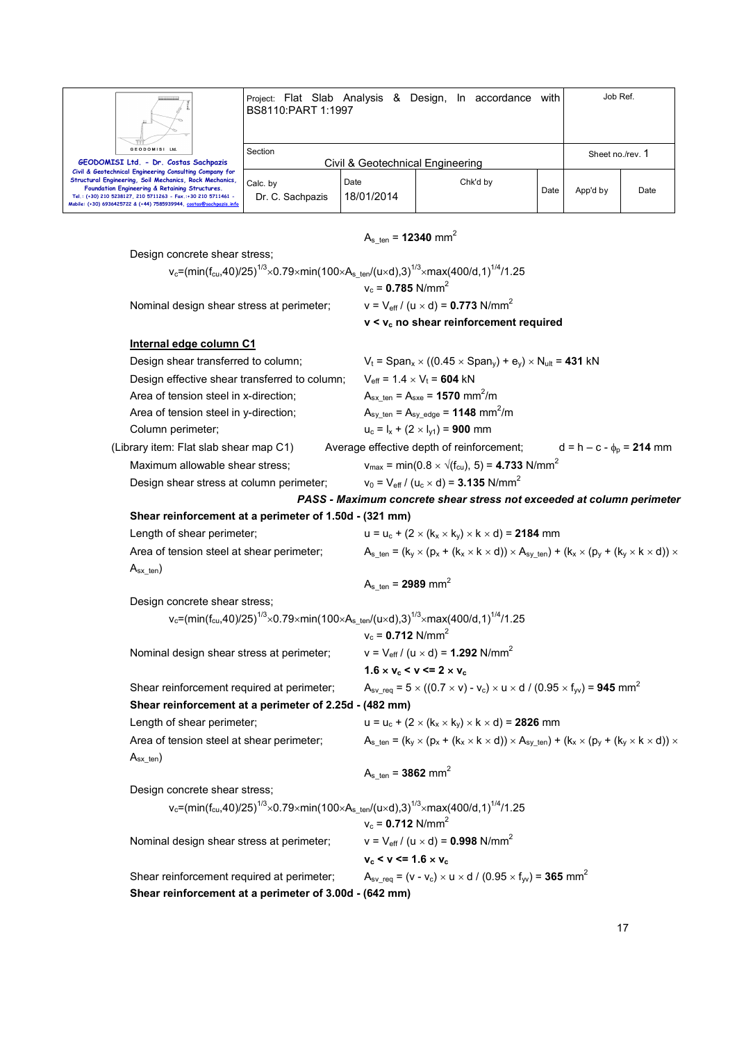

 $A_{s_{ten}} = 12340$  mm<sup>2</sup>

# Design concrete shear stress: v<sub>c</sub>=(min(f<sub>cu</sub>,40)/25)<sup>1/3</sup> $\times$ 0.79 $\times$ min(100 $\times$ A $_{\rm s\_ten}$ /(u $\times$ d),3) $^{1/3}$  $\times$ max(400/d,1) $^{1/4}$ /1.25  $v_c = 0.785$  N/mm<sup>2</sup> Nominal design shear stress at perimeter;  $v = V_{\text{eff}} / (u \times d) = 0.773 \text{ N/mm}^2$  **v < vc no shear reinforcement required Internal edge column C1** Design shear transferred to column;  $V_t = Span_x \times ((0.45 \times Span_v) + e_v) \times N_{ult} = 431$  kN Design effective shear transferred to column;  $V_{\text{eff}} = 1.4 \times V_t = 604 \text{ kN}$ Area of tension steel in x-direction;  $A_{sx \text{ ten}} = A_{sx} = 1570 \text{ mm}^2/\text{m}$ Area of tension steel in y-direction;  $A_{sy \text{ten}} = A_{sy \text{edge}} = 1148 \text{ mm}^2/\text{m}$ Column perimeter;  $u_c = I_x + (2 \times I_{y1}) = 900$  mm (Library item: Flat slab shear map C1) Average effective depth of reinforcement;  $d = h - c - \phi_p = 214$  mm Maximum allowable shear stress;  $v_{\text{max}} = \text{min}(0.8 \times \sqrt{(f_{\text{cu}})}, 5) = 4.733 \text{ N/mm}^2$ Design shear stress at column perimeter:  $v_0 = V_{\text{eff}} / (u_c \times d) = 3.135 \text{ N/mm}^2$ *PASS - Maximum concrete shear stress not exceeded at column perimeter*  **Shear reinforcement at a perimeter of 1.50d - (321 mm)** Length of shear perimeter;  $u = u_c + (2 \times (k_x \times k_y) \times k \times d) = 2184$  mm Area of tension steel at shear perimeter;  $A_s_{\text{ten}} = (k_x \times (p_x + (k_x \times k \times d)) \times A_{\text{sv-ten}}) + (k_x \times (p_y + (k_y \times k \times d)) \times A_{\text{sv-ten}})$  $A_{sx}$ <sub>ten</sub>)  $A_{s_{t}}$  ten = **2989** mm<sup>2</sup> Design concrete shear stress: v<sub>c</sub>=(min(f<sub>cu</sub>,40)/25)<sup>1/3</sup> $\times$ 0.79 $\times$ min(100 $\times$ A $_{\rm s\_ten}$ /(u $\times$ d),3) $^{1/3}$  $\times$ max(400/d,1) $^{1/4}$ /1.25  $v_c = 0.712$  N/mm<sup>2</sup> Nominal design shear stress at perimeter;  $v = V_{\text{eff}} / (u \times d) = 1.292 \text{ N/mm}^2$ **1.6**  $\times$  **v**<sub>c</sub>  $\lt$  **v**  $\lt$  = **2**  $\times$  **v**<sub>c</sub> Shear reinforcement required at perimeter;  $A_{sv \text{ req}} = 5 \times ((0.7 \times v) - v_c) \times u \times d / (0.95 \times f_w) = 945 \text{ mm}^2$ **Shear reinforcement at a perimeter of 2.25d - (482 mm)** Length of shear perimeter;  $u = u_c + (2 \times (k_x \times k_y) \times k \times d) =$  **2826** mm Area of tension steel at shear perimeter;  $A_{s_ten} = (k_y \times (p_x + (k_x \times k \times d)) \times A_{sv}$ <sub>ten</sub>) +  $(k_x \times (p_y + (k_y \times k \times d)) \times A_{sv}$  $A_{sx}$ <sub>ten</sub>)  $A_{s_{ten}} = 3862$  mm<sup>2</sup> Design concrete shear stress; v<sub>c</sub>=(min(f<sub>cu</sub>,40)/25)<sup>1/3</sup> $\times$ 0.79 $\times$ min(100 $\times$ A $_{\rm s\_ten}$ /(u $\times$ d),3) $^{1/3}$  $\times$ max(400/d,1) $^{1/4}$ /1.25  $v_c = 0.712$  N/mm<sup>2</sup> Nominal design shear stress at perimeter;  $v = V_{\text{eff}} / (u \times d) = 0.998 \text{ N/mm}^2$  $v_c < v \le 1.6 \times v_c$ Shear reinforcement required at perimeter;  $A_{sv \text{ req}} = (v - v_c) \times u \times d / (0.95 \times f_w) = 365 \text{ mm}^2$ **Shear reinforcement at a perimeter of 3.00d - (642 mm)**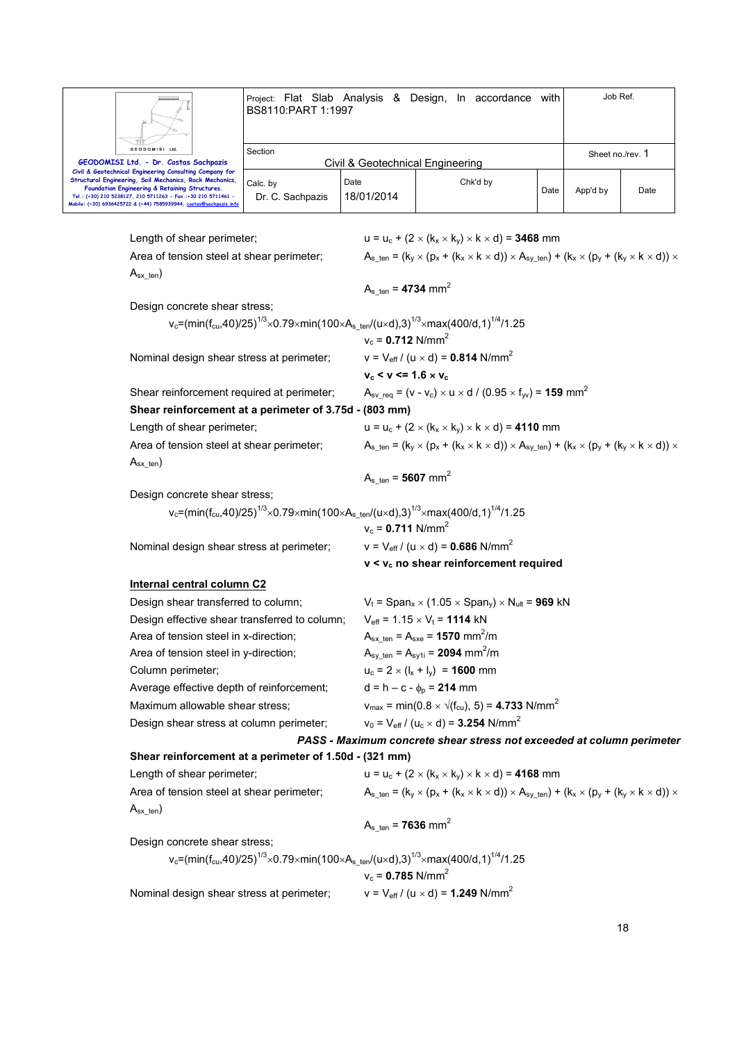|                                                                                                                                                                                                                                     | BS8110:PART 1:1997                                                                                                                                                                                                                     |                                         | Project: Flat Slab Analysis & Design, In accordance with                                                                                                  |      | Job Ref. |                  |  |
|-------------------------------------------------------------------------------------------------------------------------------------------------------------------------------------------------------------------------------------|----------------------------------------------------------------------------------------------------------------------------------------------------------------------------------------------------------------------------------------|-----------------------------------------|-----------------------------------------------------------------------------------------------------------------------------------------------------------|------|----------|------------------|--|
| <b>GEODOMISI Ltd</b>                                                                                                                                                                                                                | Section                                                                                                                                                                                                                                |                                         |                                                                                                                                                           |      |          | Sheet no./rev. 1 |  |
| GEODOMISI Ltd. - Dr. Costas Sachpazis<br>Civil & Geotechnical Engineering Consulting Company for                                                                                                                                    | Civil & Geotechnical Engineering                                                                                                                                                                                                       |                                         |                                                                                                                                                           |      |          |                  |  |
| Structural Engineering, Soil Mechanics, Rock Mechanics,<br>Foundation Engineering & Retaining Structures.<br>Tel.: (+30) 210 5238127, 210 5711263 - Fax.:+30 210 5711461 -<br>Mobile: (+30) 6936425722 & (+44) 7585939944, costas@s | Calc. by<br>Dr. C. Sachpazis                                                                                                                                                                                                           | Date<br>18/01/2014                      | Chk'd by                                                                                                                                                  | Date | App'd by | Date             |  |
| Length of shear perimeter;                                                                                                                                                                                                          |                                                                                                                                                                                                                                        |                                         | $u = u_c + (2 \times (k_x \times k_y) \times k \times d) = 3468$ mm                                                                                       |      |          |                  |  |
|                                                                                                                                                                                                                                     | $A_{s \text{ ten}} = (k_y \times (p_x + (k_x \times k \times d)) \times A_{sy \text{ ten}}) + (k_x \times (p_y + (k_y \times k \times d)) \times$<br>Area of tension steel at shear perimeter;                                         |                                         |                                                                                                                                                           |      |          |                  |  |
| $A_{sx\_ten}$                                                                                                                                                                                                                       |                                                                                                                                                                                                                                        | $A_{s \text{ ten}} = 4734 \text{ mm}^2$ |                                                                                                                                                           |      |          |                  |  |
| Design concrete shear stress;                                                                                                                                                                                                       |                                                                                                                                                                                                                                        |                                         |                                                                                                                                                           |      |          |                  |  |
|                                                                                                                                                                                                                                     |                                                                                                                                                                                                                                        | $v_c = 0.712$ N/mm <sup>2</sup>         | $v_c = (min(f_{cu}, 40)/25)^{1/3} \times 0.79 \times min(100 \times A_{s \text{ ten}}/(u \times d), 3)^{1/3} \times max(400/d, 1)^{1/4}/1.25$             |      |          |                  |  |
| Nominal design shear stress at perimeter;                                                                                                                                                                                           |                                                                                                                                                                                                                                        |                                         | $v = V_{eff} / (u \times d) = 0.814$ N/mm <sup>2</sup>                                                                                                    |      |          |                  |  |
|                                                                                                                                                                                                                                     |                                                                                                                                                                                                                                        | $v_c < v \le 1.6 \times v_c$            |                                                                                                                                                           |      |          |                  |  |
| Shear reinforcement required at perimeter;<br>Shear reinforcement at a perimeter of 3.75d - (803 mm)                                                                                                                                |                                                                                                                                                                                                                                        |                                         | $A_{\rm sv}$ req = (v - v <sub>c</sub> ) × u × d / (0.95 × f <sub>w</sub> ) = <b>159</b> mm <sup>2</sup>                                                  |      |          |                  |  |
| Length of shear perimeter;                                                                                                                                                                                                          |                                                                                                                                                                                                                                        |                                         | $u = u_c + (2 \times (k_x \times k_y) \times k \times d) = 4110$ mm                                                                                       |      |          |                  |  |
| Area of tension steel at shear perimeter;                                                                                                                                                                                           |                                                                                                                                                                                                                                        |                                         | $A_{s \text{ ten}} = (k_y \times (p_x + (k_x \times k \times d)) \times A_{sy \text{ ten}}) + (k_x \times (p_y + (k_y \times k \times d)) \times$         |      |          |                  |  |
| $A_{sx\_ten}$                                                                                                                                                                                                                       |                                                                                                                                                                                                                                        |                                         |                                                                                                                                                           |      |          |                  |  |
|                                                                                                                                                                                                                                     |                                                                                                                                                                                                                                        | $A_{s \text{ ten}} = 5607 \text{ mm}^2$ |                                                                                                                                                           |      |          |                  |  |
| Design concrete shear stress;                                                                                                                                                                                                       |                                                                                                                                                                                                                                        |                                         |                                                                                                                                                           |      |          |                  |  |
|                                                                                                                                                                                                                                     |                                                                                                                                                                                                                                        |                                         | v <sub>c</sub> =(min(f <sub>cu</sub> ,40)/25) <sup>1/3</sup> ×0.79×min(100×A <sub>s_ten</sub> /(u×d),3) <sup>1/3</sup> ×max(400/d,1) <sup>1/4</sup> /1.25 |      |          |                  |  |
|                                                                                                                                                                                                                                     |                                                                                                                                                                                                                                        | $v_c = 0.711$ N/mm <sup>2</sup>         |                                                                                                                                                           |      |          |                  |  |
| Nominal design shear stress at perimeter;                                                                                                                                                                                           |                                                                                                                                                                                                                                        |                                         | $v = V_{eff} / (u \times d) = 0.686$ N/mm <sup>2</sup>                                                                                                    |      |          |                  |  |
|                                                                                                                                                                                                                                     |                                                                                                                                                                                                                                        |                                         | $v < v_c$ no shear reinforcement required                                                                                                                 |      |          |                  |  |
| <b>Internal central column C2</b>                                                                                                                                                                                                   |                                                                                                                                                                                                                                        |                                         |                                                                                                                                                           |      |          |                  |  |
| Design shear transferred to column;                                                                                                                                                                                                 |                                                                                                                                                                                                                                        |                                         | $V_t = \text{Span}_x \times (1.05 \times \text{Span}_y) \times N_{ult} = 969$ kN                                                                          |      |          |                  |  |
| Design effective shear transferred to column;                                                                                                                                                                                       |                                                                                                                                                                                                                                        |                                         | $V_{\text{eff}}$ = 1.15 $\times$ V <sub>t</sub> = <b>1114</b> kN                                                                                          |      |          |                  |  |
|                                                                                                                                                                                                                                     | $A_{sx \text{ ten}} = A_{sxe} = 1570 \text{ mm}^2/\text{m}$<br>Area of tension steel in x-direction;                                                                                                                                   |                                         |                                                                                                                                                           |      |          |                  |  |
|                                                                                                                                                                                                                                     | $A_{sy\_ten} = A_{sy1i} = 2094$ mm <sup>2</sup> /m<br>Area of tension steel in y-direction;                                                                                                                                            |                                         |                                                                                                                                                           |      |          |                  |  |
| Column perimeter;                                                                                                                                                                                                                   | $u_c = 2 \times (I_x + I_y) = 1600$ mm                                                                                                                                                                                                 |                                         |                                                                                                                                                           |      |          |                  |  |
| Average effective depth of reinforcement;                                                                                                                                                                                           |                                                                                                                                                                                                                                        |                                         | $d = h - c - \phi_p = 214$ mm                                                                                                                             |      |          |                  |  |
|                                                                                                                                                                                                                                     | $v_{\text{max}} = \text{min}(0.8 \times \sqrt{(f_{\text{cu}})}, 5) = 4.733 \text{ N/mm}^2$<br>Maximum allowable shear stress;                                                                                                          |                                         |                                                                                                                                                           |      |          |                  |  |
| Design shear stress at column perimeter;                                                                                                                                                                                            |                                                                                                                                                                                                                                        |                                         | $v_0 = V_{\text{eff}} / (u_c \times d) = 3.254 \text{ N/mm}^2$                                                                                            |      |          |                  |  |
|                                                                                                                                                                                                                                     |                                                                                                                                                                                                                                        |                                         | PASS - Maximum concrete shear stress not exceeded at column perimeter                                                                                     |      |          |                  |  |
| Shear reinforcement at a perimeter of 1.50d - (321 mm)                                                                                                                                                                              |                                                                                                                                                                                                                                        |                                         |                                                                                                                                                           |      |          |                  |  |
|                                                                                                                                                                                                                                     | Length of shear perimeter;<br>$u = u_c + (2 \times (k_x \times k_y) \times k \times d) = 4168$ mm<br>$A_{s_ten} = (k_y \times (p_x + (k_x \times k \times d)) \times A_{sy_ten}) + (k_x \times (p_y + (k_y \times k \times d)) \times$ |                                         |                                                                                                                                                           |      |          |                  |  |
| Area of tension steel at shear perimeter;                                                                                                                                                                                           |                                                                                                                                                                                                                                        |                                         |                                                                                                                                                           |      |          |                  |  |
| $A_{sx\_ten}$                                                                                                                                                                                                                       |                                                                                                                                                                                                                                        | $A_{s \text{ ten}} = 7636 \text{ mm}^2$ |                                                                                                                                                           |      |          |                  |  |
| Design concrete shear stress;                                                                                                                                                                                                       |                                                                                                                                                                                                                                        |                                         |                                                                                                                                                           |      |          |                  |  |
|                                                                                                                                                                                                                                     |                                                                                                                                                                                                                                        | $v_c = 0.785$ N/mm <sup>2</sup>         | v <sub>c</sub> =(min(f <sub>cu</sub> ,40)/25) <sup>1/3</sup> ×0.79×min(100×A <sub>s_ten</sub> /(u×d),3) <sup>1/3</sup> ×max(400/d,1) <sup>1/4</sup> /1.25 |      |          |                  |  |
| Nominal design shear stress at perimeter;                                                                                                                                                                                           |                                                                                                                                                                                                                                        |                                         | $v = V_{eff} / (u \times d) = 1.249$ N/mm <sup>2</sup>                                                                                                    |      |          |                  |  |
|                                                                                                                                                                                                                                     |                                                                                                                                                                                                                                        |                                         |                                                                                                                                                           |      |          |                  |  |
|                                                                                                                                                                                                                                     |                                                                                                                                                                                                                                        |                                         |                                                                                                                                                           |      |          | 18               |  |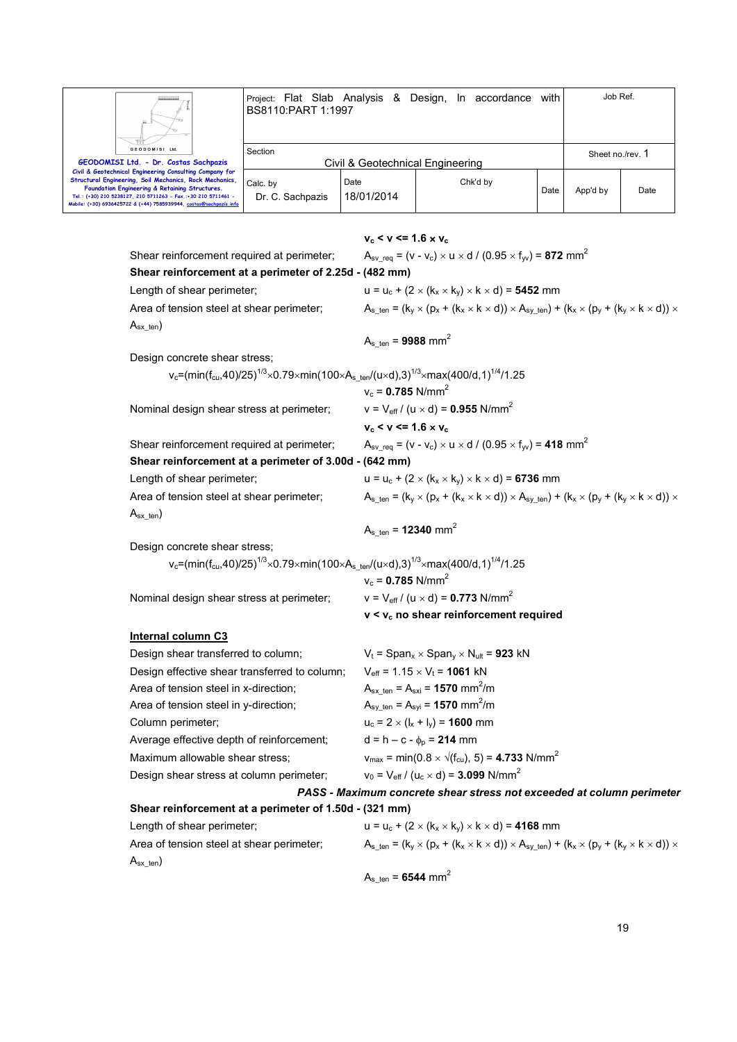

Project: Flat Slab Analysis & Design, In accordance with BS8110:PART 1:1997 Job Ref. Section Civil & Geotechnical Engineering Sheet no./rev. 1 Calc. by Date Chk'd by Date App'd by Date

Civil & Geotechnical Engineering Consulting Company for<br>Structural Engineering, Soil Mechanics, Rock Mechanics,<br>Foundation Engineering & Retaining Structures.<br>Tel.: (+30) 201 8238127, 201 9711263 - Fex.:+30 201 971461<br>Mobi

Dr. C. Sachpazis

18/01/2014

|                                                                                                                                                          | $v_c < v \le 1.6 \times v_c$                                                                                                                      |
|----------------------------------------------------------------------------------------------------------------------------------------------------------|---------------------------------------------------------------------------------------------------------------------------------------------------|
| Shear reinforcement required at perimeter;                                                                                                               | $A_{\rm sv}$ req = (v - v <sub>c</sub> ) × u × d / (0.95 × f <sub>w</sub> ) = <b>872</b> mm <sup>2</sup>                                          |
| Shear reinforcement at a perimeter of 2.25d - (482 mm)                                                                                                   |                                                                                                                                                   |
| Length of shear perimeter;                                                                                                                               | $u = u_c + (2 \times (k_x \times k_y) \times k \times d) = 5452$ mm                                                                               |
| Area of tension steel at shear perimeter;                                                                                                                | $A_{s \text{ ten}} = (k_v \times (p_x + (k_x \times k \times d)) \times A_{sy \text{ ten}}) + (k_x \times (p_y + (k_y \times k \times d)) \times$ |
| $A_{sx{\text{-}}ten}$                                                                                                                                    |                                                                                                                                                   |
|                                                                                                                                                          | $A_{s \text{ ten}} = 9988 \text{ mm}^2$                                                                                                           |
| Design concrete shear stress;                                                                                                                            |                                                                                                                                                   |
| v <sub>c</sub> =(min(f <sub>cu</sub> ,40)/25) <sup>1/3</sup> ×0.79×min(100×A <sub>sten</sub> /(u×d),3) <sup>1/3</sup> ×max(400/d,1) <sup>1/4</sup> /1.25 |                                                                                                                                                   |
|                                                                                                                                                          | $v_c = 0.785$ N/mm <sup>2</sup>                                                                                                                   |
| Nominal design shear stress at perimeter;                                                                                                                | $v = V_{eff} / (u \times d) = 0.955$ N/mm <sup>2</sup>                                                                                            |
|                                                                                                                                                          | $v_c < v \le 1.6 \times v_c$                                                                                                                      |
| Shear reinforcement required at perimeter;                                                                                                               | $A_{\rm sv}$ req = (v - v <sub>c</sub> ) × u × d / (0.95 × f <sub>w</sub> ) = 418 mm <sup>2</sup>                                                 |
| Shear reinforcement at a perimeter of 3.00d - (642 mm)                                                                                                   |                                                                                                                                                   |
| Length of shear perimeter;                                                                                                                               | $u = u_c + (2 \times (k_x \times k_y) \times k \times d) = 6736$ mm                                                                               |
| Area of tension steel at shear perimeter;                                                                                                                | $A_{s \text{ ten}} = (k_y \times (p_x + (k_x \times k \times d)) \times A_{sy \text{ ten}}) + (k_x \times (p_y + (k_y \times k \times d)) \times$ |
| $A_{sx{\text{-}}ten}$                                                                                                                                    |                                                                                                                                                   |
|                                                                                                                                                          | A <sub>s ten</sub> = <b>12340</b> mm <sup>2</sup>                                                                                                 |
| Design concrete shear stress;                                                                                                                            |                                                                                                                                                   |
| v <sub>c</sub> =(min(f <sub>cu</sub> ,40)/25) <sup>1/3</sup> ×0.79×min(100×A <sub>sten</sub> /(u×d),3) <sup>1/3</sup> ×max(400/d,1) <sup>1/4</sup> /1.25 |                                                                                                                                                   |
|                                                                                                                                                          | $v_c = 0.785$ N/mm <sup>2</sup>                                                                                                                   |
| Nominal design shear stress at perimeter;                                                                                                                | $v = V_{eff} / (u \times d) = 0.773$ N/mm <sup>2</sup>                                                                                            |
|                                                                                                                                                          | v < v <sub>c</sub> no shear reinforcement required                                                                                                |
| <b>Internal column C3</b>                                                                                                                                |                                                                                                                                                   |
| Design shear transferred to column;                                                                                                                      | $V_t = Span_x \times Span_y \times N_{ult} = 923$ kN                                                                                              |
| Design effective shear transferred to column;                                                                                                            | $V_{\text{eff}}$ = 1.15 $\times$ V <sub>t</sub> = <b>1061</b> kN                                                                                  |
| Area of tension steel in x-direction;                                                                                                                    | $A_{sx \text{ ten}} = A_{sxi} = 1570 \text{ mm}^2/\text{m}$                                                                                       |
| Area of tension steel in y-direction;                                                                                                                    | $A_{sy\_ten} = A_{syi} = 1570$ mm <sup>2</sup> /m                                                                                                 |
| Column perimeter;                                                                                                                                        | $u_c = 2 \times (I_x + I_y) = 1600$ mm                                                                                                            |
| Average effective depth of reinforcement;                                                                                                                | $d = h - c - \phi_p = 214$ mm                                                                                                                     |
| Maximum allowable shear stress:                                                                                                                          | $v_{\text{max}} = \text{min}(0.8 \times \sqrt{(f_{\text{cu}})}, 5) = 4.733 \text{ N/mm}^2$                                                        |
| Design shear stress at column perimeter;                                                                                                                 | $v_0 = V_{\text{eff}} / (u_c \times d) = 3.099 \text{ N/mm}^2$                                                                                    |
|                                                                                                                                                          | PASS - Maximum concrete shear stress not exceeded at column perimeter                                                                             |
| Shear reinforcement at a perimeter of 1.50d - (321 mm)                                                                                                   |                                                                                                                                                   |
| Length of shear perimeter;                                                                                                                               | $u = u_c + (2 \times (k_x \times k_y) \times k \times d) = 4168$ mm                                                                               |
| Area of tension steel at shear perimeter;                                                                                                                | $A_{s_ten} = (k_y \times (p_x + (k_x \times k \times d)) \times A_{sy_ten}) + (k_x \times (p_y + (k_y \times k \times d)) \times$                 |
| $A_{sx\_ten}$                                                                                                                                            |                                                                                                                                                   |
|                                                                                                                                                          | $A_{s_{\text{min}}}$ = 6544 mm <sup>2</sup>                                                                                                       |
|                                                                                                                                                          |                                                                                                                                                   |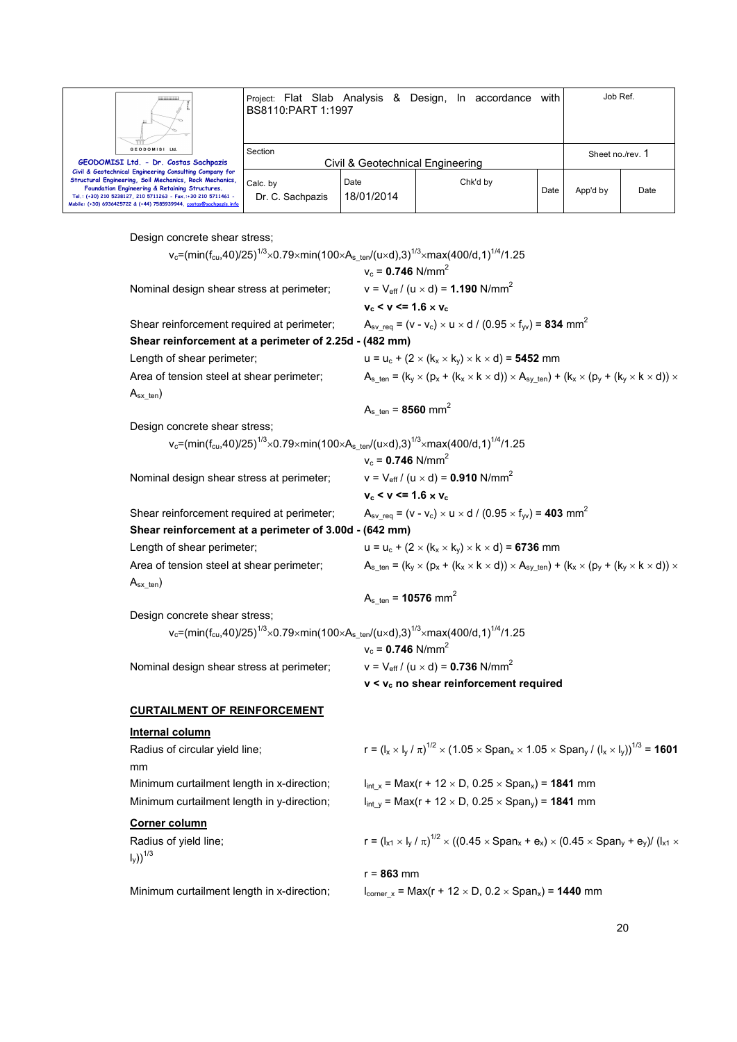| Ш.                                                                                                                                                                                                                                                                                                          | Project: Flat Slab Analysis & Design, In accordance<br>BS8110:PART 1:1997 |                    |  |          | with             | Job Ref. |      |
|-------------------------------------------------------------------------------------------------------------------------------------------------------------------------------------------------------------------------------------------------------------------------------------------------------------|---------------------------------------------------------------------------|--------------------|--|----------|------------------|----------|------|
| GEODOMISI Ltd.<br>GEODOMISI Ltd. - Dr. Costas Sachpazis                                                                                                                                                                                                                                                     | Section<br>Civil & Geotechnical Engineering                               |                    |  |          | Sheet no./rev. 1 |          |      |
| Civil & Geotechnical Engineering Consulting Company for<br>Structural Engineering, Soil Mechanics, Rock Mechanics,<br>Foundation Engineering & Retaining Structures.<br>Tel.: (+30) 210 5238127, 210 5711263 - Fax.:+30 210 5711461 -<br>Mobile: (+30) 6936425722 & (+44) 7585939944, costas@sachpazis.info | Calc. by<br>Dr. C. Sachpazis                                              | Date<br>18/01/2014 |  | Chk'd by | Date             | App'd by | Date |

Design concrete shear stress;

v<sub>c</sub>=(min(f<sub>cu</sub>,40)/25)<sup>1/3</sup>×0.79×min(100×A<sub>s\_ten</sub>/(u×d),3)<sup>1/3</sup>×max(400/d,1)<sup>1/4</sup>/1.25  $v_c = 0.746$  N/mm<sup>2</sup> Nominal design shear stress at perimeter;  $v = V_{\text{eff}} / (u \times d) = 1.190 \text{ N/mm}^2$  $v_c < v \le 1.6 \times v_c$ Shear reinforcement required at perimeter;  $A_{sv\_req} = (v - v_c) \times u \times d / (0.95 \times f_w) = 834 \text{ mm}^2$ **Shear reinforcement at a perimeter of 2.25d - (482 mm)** Length of shear perimeter;  $u = u_c + (2 \times (k_x \times k_y) \times k \times d) =$  **5452** mm Area of tension steel at shear perimeter;  $A_s_{\text{ten}} = (k_x \times (p_x + (k_x \times k \times d)) \times A_{\text{sv-ten}}) + (k_x \times (p_y + (k_y \times k \times d)) \times A_{\text{sv-ten}})$  $A_{sx}$ <sub>ten</sub>)  $A_{s_{t}}$  ten = **8560** mm<sup>2</sup> Design concrete shear stress; v<sub>c</sub>=(min(f<sub>cu</sub>,40)/25)<sup>1/3</sup>×0.79×min(100×A<sub>s\_ten</sub>/(u×d),3)<sup>1/3</sup>×max(400/d,1)<sup>1/4</sup>/1.25  $v_c = 0.746$  N/mm<sup>2</sup> Nominal design shear stress at perimeter;  $v = V_{\text{eff}} / (u \times d) = 0.910 \text{ N/mm}^2$  $v_c < v \le 1.6 \times v_c$ Shear reinforcement required at perimeter;  $A_{\text{sv\_rea}} = (v - v_c) \times u \times d / (0.95 \times f_w) = 403 \text{ mm}^2$ **Shear reinforcement at a perimeter of 3.00d - (642 mm)** Length of shear perimeter;  $u = u_c + (2 \times (k_x \times k_y) \times k \times d) = 6736$  mm Area of tension steel at shear perimeter;  $A_{s_{ten}} = (k_v \times (p_x + (k_x \times k \times d)) \times A_{sv_{ten}}) + (k_x \times (p_v + (k_v \times k \times d)) \times A_{sv_{ten}})$  $A_{sx}$ <sub>ten</sub>)  $A_{s_{\text{ten}}}$  = **10576** mm<sup>2</sup> Design concrete shear stress; v<sub>c</sub>=(min(f<sub>cu</sub>,40)/25)<sup>1/3</sup> $\times$ 0.79 $\times$ min(100 $\times$ A $_{\rm s\_ten}$ /(u $\times$ d),3) $^{1/3}$  $\times$ max(400/d,1) $^{1/4}$ /1.25  $v_c = 0.746$  N/mm<sup>2</sup> Nominal design shear stress at perimeter;  $v = V_{\text{eff}} / (u \times d) = 0.736 \text{ N/mm}^2$  **v < vc no shear reinforcement required CURTAILMENT OF REINFORCEMENT Internal column** Radius of circular yield line;  $1^{1/2}\times(1.05\times \mathsf{Span}_\mathsf{x}\times 1.05\times \mathsf{Span}_\mathsf{y}$  /  $(\mathsf{l}_\mathsf{x}\times \mathsf{l}_\mathsf{y}))^{1/3}$  = **1601** mm Minimum curtailment length in x-direction;  $l_{int x} = Max(r + 12 \times D, 0.25 \times Span_x) = 1841$  mm Minimum curtailment length in y-direction;  $\qquad \qquad \text{ln}_x = \text{Max}(r + 12 \times D, 0.25 \times \text{Span}_y) = 1841 \text{ mm}$ **Corner column** Radius of yield line;  $1^{1/2} \times ((0.45 \times \text{Span}_x + \text{e}_x) \times (0.45 \times \text{Span}_y + \text{e}_y) / (l_{x1} \times$  $\left\vert \mathbf{I}_{\mathsf{V}}\right\rangle ^{1/3}$ 

r = **863** mm

Minimum curtailment length in x-direction;  $l_{\text{corner x}} = \text{Max}(r + 12 \times D, 0.2 \times \text{Span}_x) = 1440 \text{ mm}$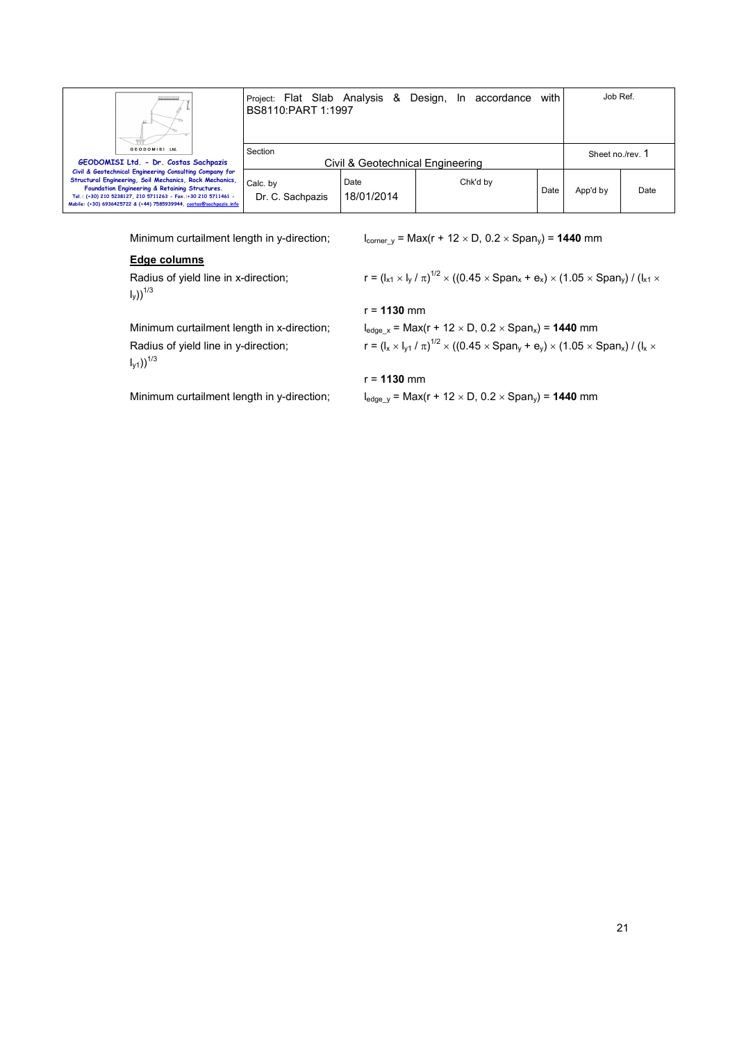| Ш                                                                                                                                                                                                                                                                                                           | Project: Flat Slab Analysis & Design, In accordance<br>BS8110:PART 1:1997 |                    |          | with | Job Ref.         |      |
|-------------------------------------------------------------------------------------------------------------------------------------------------------------------------------------------------------------------------------------------------------------------------------------------------------------|---------------------------------------------------------------------------|--------------------|----------|------|------------------|------|
| GEODOMISI Ltd.<br>GEODOMISI Ltd. - Dr. Costas Sachpazis                                                                                                                                                                                                                                                     | Section<br>Civil & Geotechnical Engineering                               |                    |          |      | Sheet no./rev. 1 |      |
| Civil & Geotechnical Engineering Consulting Company for<br>Structural Engineering, Soil Mechanics, Rock Mechanics,<br>Foundation Engineering & Retaining Structures.<br>Tel.: (+30) 210 5238127, 210 5711263 - Fax.:+30 210 5711461 -<br>Mobile: (+30) 6936425722 & (+44) 7585939944, costas@sachpazis.info | Calc. by<br>Dr. C. Sachpazis                                              | Date<br>18/01/2014 | Chk'd by | Date | App'd by         | Date |

Minimum curtailment length in y-direction;  $l_{\text{corner}_y} = \text{Max}(r + 12 \times D, 0.2 \times \text{Span}_y) = 1440 \text{ mm}$ 

### **Edge columns**

Radius of yield line in x-direction;  $I_y)$ )<sup>1/3</sup>

 $1^{1/2}$   $\times$  ((0.45  $\times$  Span $_{\rm x}$  +  $\rm e_{\rm x})$   $\times$  (1.05  $\times$  Span $_{\rm y})$  / (l $_{\rm x1}$   $\times$ 

# r = **1130** mm

Minimum curtailment length in x-direction;  $l_{edge_x} = Max(r + 12 \times D, 0.2 \times Span_x) = 1440$  mm Radius of yield line in y-direction;  $I_{y1})$ )<sup>1/3</sup>

# $1^{1/2}$   $\times$  ((0.45  $\times$  Span $_{\rm y}$  + e $_{\rm y})$   $\times$  (1.05  $\times$  Span $_{\rm x})$  / (l $_{\rm x}$   $\times$

### r = **1130** mm

Minimum curtailment length in y-direction;  $l_{edge_y}$  = Max(r + 12 × D, 0.2 × Span<sub>y</sub>) = **1440** mm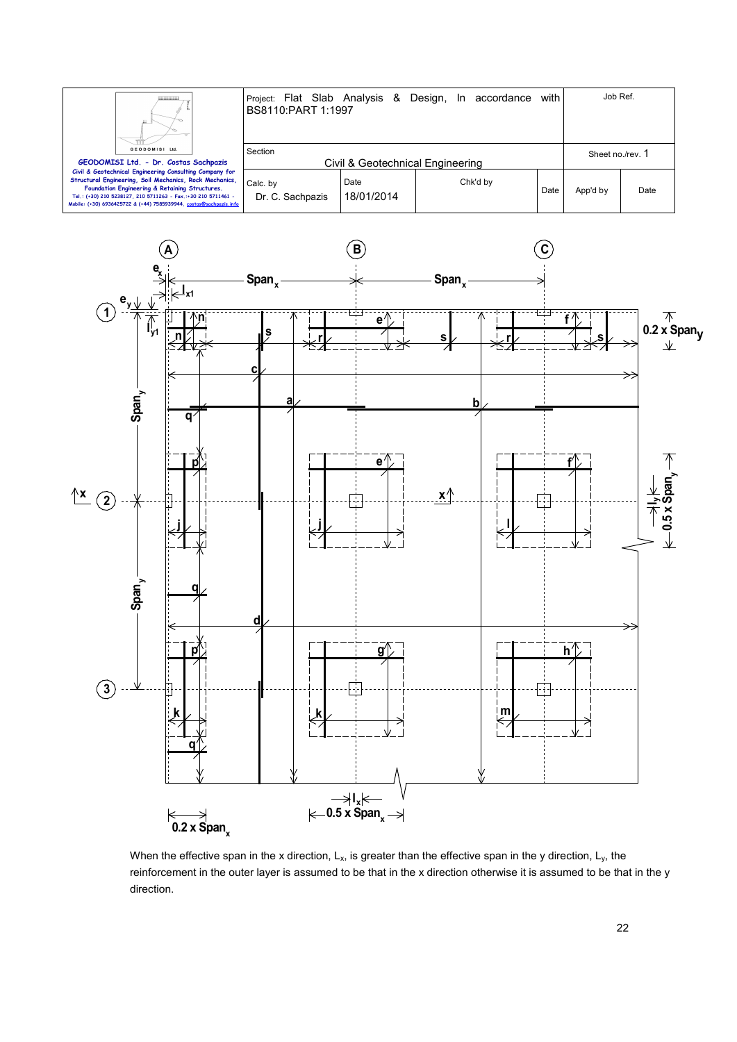



When the effective span in the x direction,  $L_x$ , is greater than the effective span in the y direction,  $L_y$ , the reinforcement in the outer layer is assumed to be that in the x direction otherwise it is assumed to be that in the y direction.